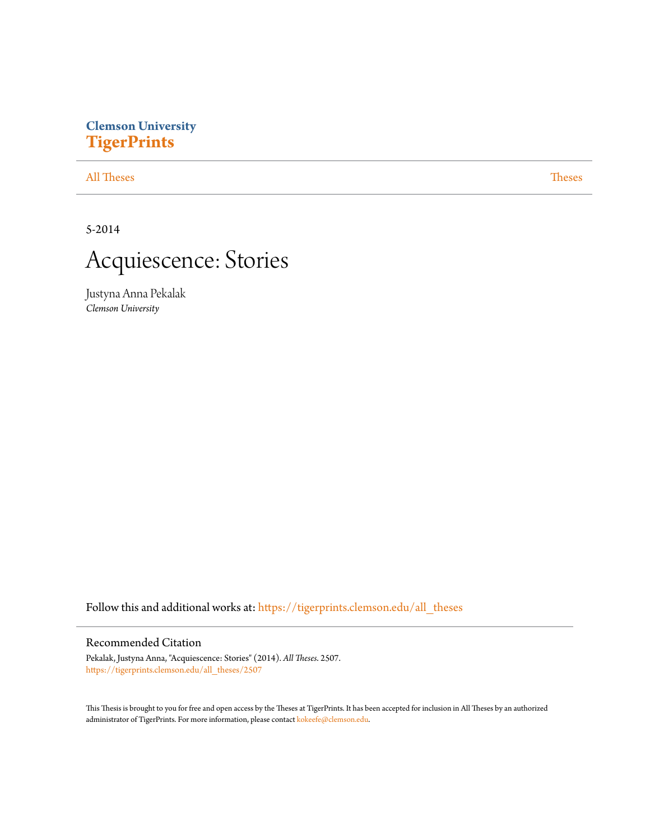## **Clemson University [TigerPrints](https://tigerprints.clemson.edu?utm_source=tigerprints.clemson.edu%2Fall_theses%2F2507&utm_medium=PDF&utm_campaign=PDFCoverPages)**

#### [All Theses](https://tigerprints.clemson.edu/all_theses?utm_source=tigerprints.clemson.edu%2Fall_theses%2F2507&utm_medium=PDF&utm_campaign=PDFCoverPages) **[Theses](https://tigerprints.clemson.edu/theses?utm_source=tigerprints.clemson.edu%2Fall_theses%2F2507&utm_medium=PDF&utm_campaign=PDFCoverPages)**

5-2014



Justyna Anna Pekalak *Clemson University*

Follow this and additional works at: [https://tigerprints.clemson.edu/all\\_theses](https://tigerprints.clemson.edu/all_theses?utm_source=tigerprints.clemson.edu%2Fall_theses%2F2507&utm_medium=PDF&utm_campaign=PDFCoverPages)

#### Recommended Citation

Pekalak, Justyna Anna, "Acquiescence: Stories" (2014). *All Theses*. 2507. [https://tigerprints.clemson.edu/all\\_theses/2507](https://tigerprints.clemson.edu/all_theses/2507?utm_source=tigerprints.clemson.edu%2Fall_theses%2F2507&utm_medium=PDF&utm_campaign=PDFCoverPages)

This Thesis is brought to you for free and open access by the Theses at TigerPrints. It has been accepted for inclusion in All Theses by an authorized administrator of TigerPrints. For more information, please contact [kokeefe@clemson.edu](mailto:kokeefe@clemson.edu).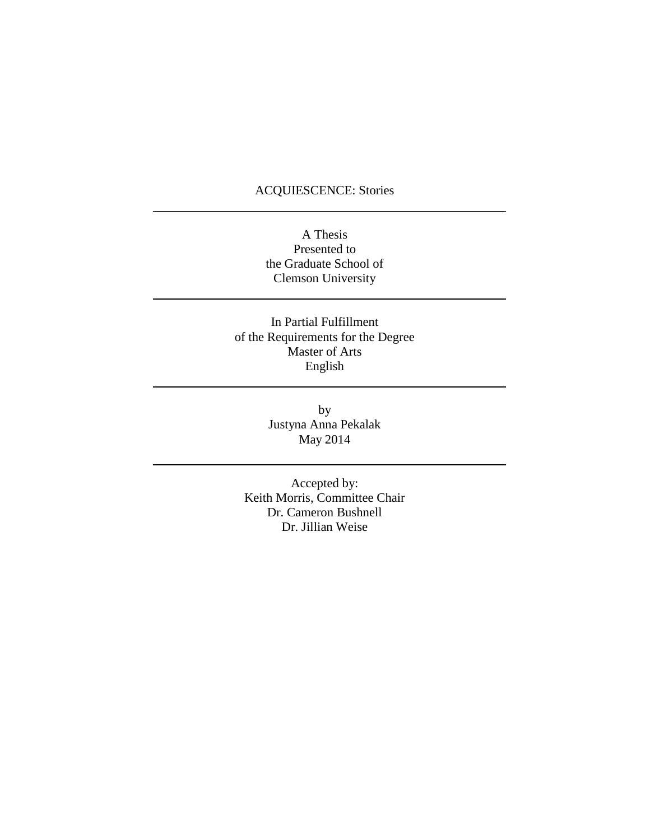### ACQUIESCENCE: Stories

### A Thesis Presented to the Graduate School of Clemson University

In Partial Fulfillment of the Requirements for the Degree Master of Arts English

> by Justyna Anna Pekalak May 2014

Accepted by: Keith Morris, Committee Chair Dr. Cameron Bushnell Dr. Jillian Weise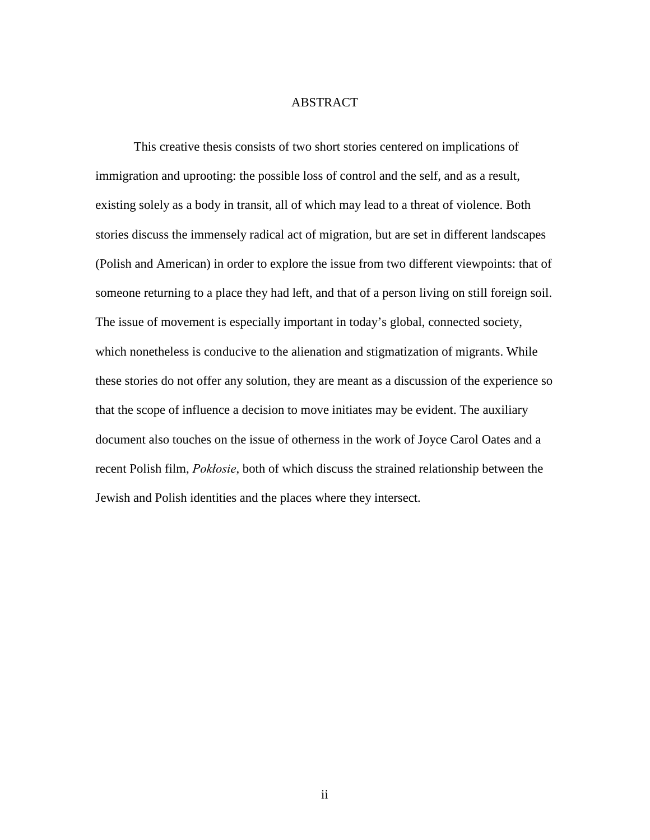#### ABSTRACT

This creative thesis consists of two short stories centered on implications of immigration and uprooting: the possible loss of control and the self, and as a result, existing solely as a body in transit, all of which may lead to a threat of violence. Both stories discuss the immensely radical act of migration, but are set in different landscapes (Polish and American) in order to explore the issue from two different viewpoints: that of someone returning to a place they had left, and that of a person living on still foreign soil. The issue of movement is especially important in today's global, connected society, which nonetheless is conducive to the alienation and stigmatization of migrants. While these stories do not offer any solution, they are meant as a discussion of the experience so that the scope of influence a decision to move initiates may be evident. The auxiliary document also touches on the issue of otherness in the work of Joyce Carol Oates and a recent Polish film, *Pokłosie*, both of which discuss the strained relationship between the Jewish and Polish identities and the places where they intersect.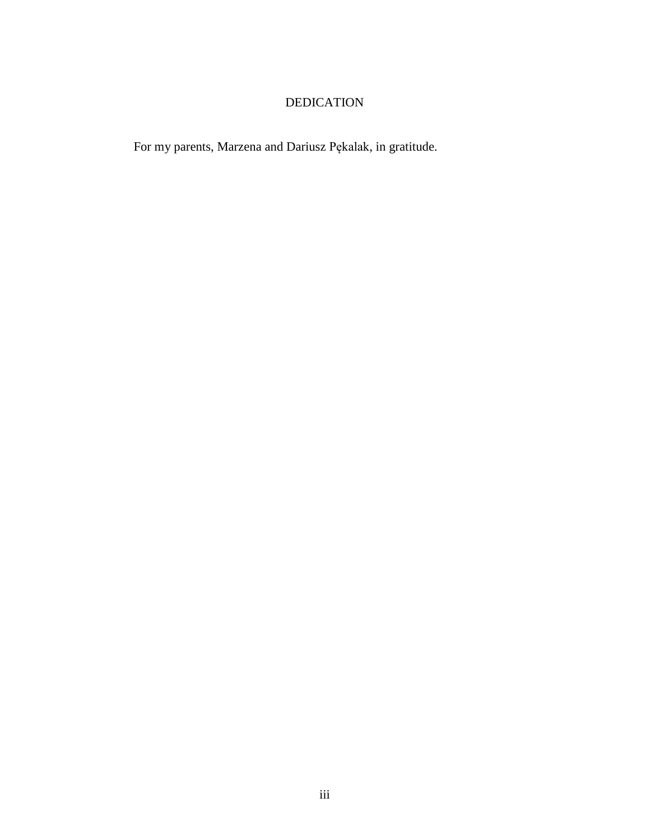# DEDICATION

For my parents, Marzena and Dariusz Pękalak, in gratitude.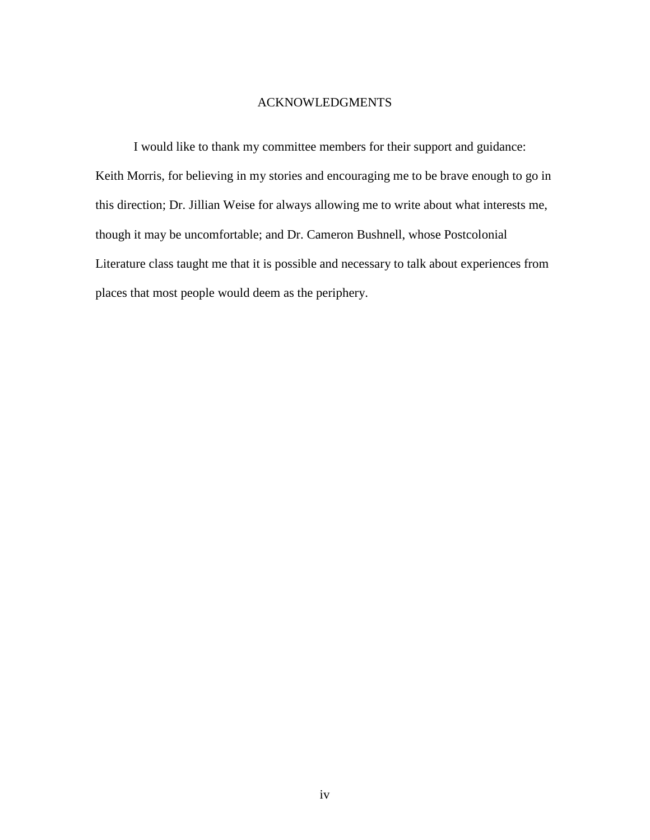#### ACKNOWLEDGMENTS

I would like to thank my committee members for their support and guidance: Keith Morris, for believing in my stories and encouraging me to be brave enough to go in this direction; Dr. Jillian Weise for always allowing me to write about what interests me, though it may be uncomfortable; and Dr. Cameron Bushnell, whose Postcolonial Literature class taught me that it is possible and necessary to talk about experiences from places that most people would deem as the periphery.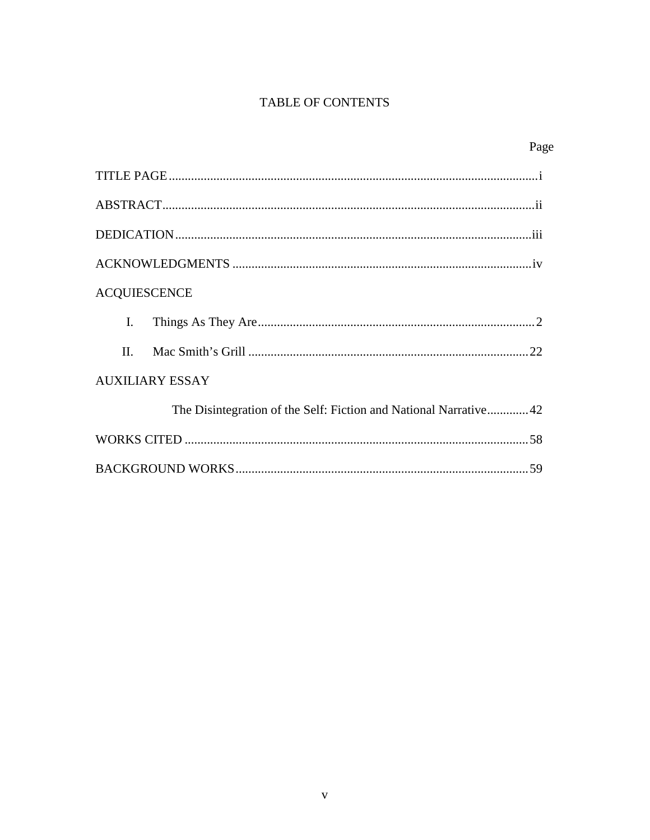## TABLE OF CONTENTS

| Page                                                             |  |
|------------------------------------------------------------------|--|
|                                                                  |  |
|                                                                  |  |
|                                                                  |  |
|                                                                  |  |
| <b>ACQUIESCENCE</b>                                              |  |
| $\mathbf{I}$ .                                                   |  |
| $\Pi$                                                            |  |
| <b>AUXILIARY ESSAY</b>                                           |  |
| The Disintegration of the Self: Fiction and National Narrative42 |  |
|                                                                  |  |
|                                                                  |  |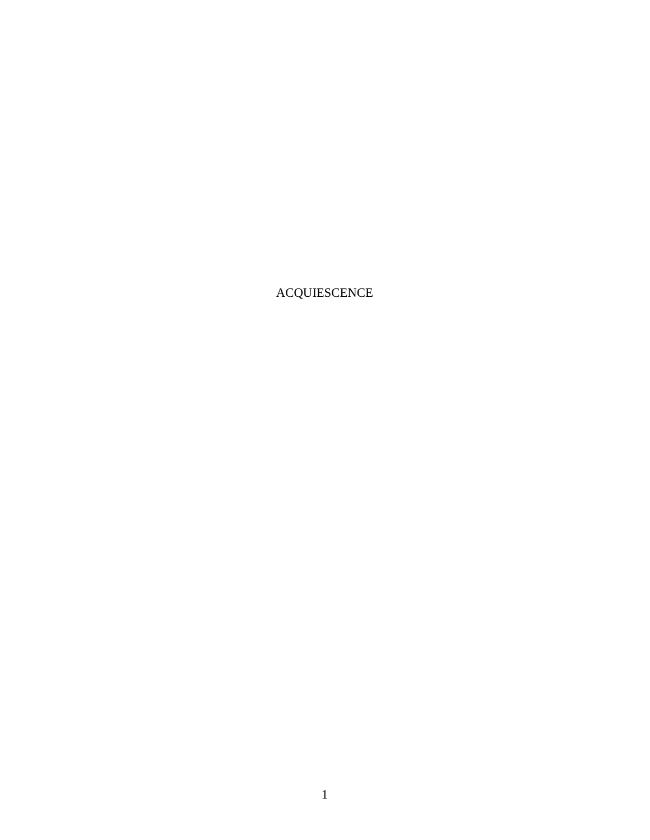ACQUIESCENCE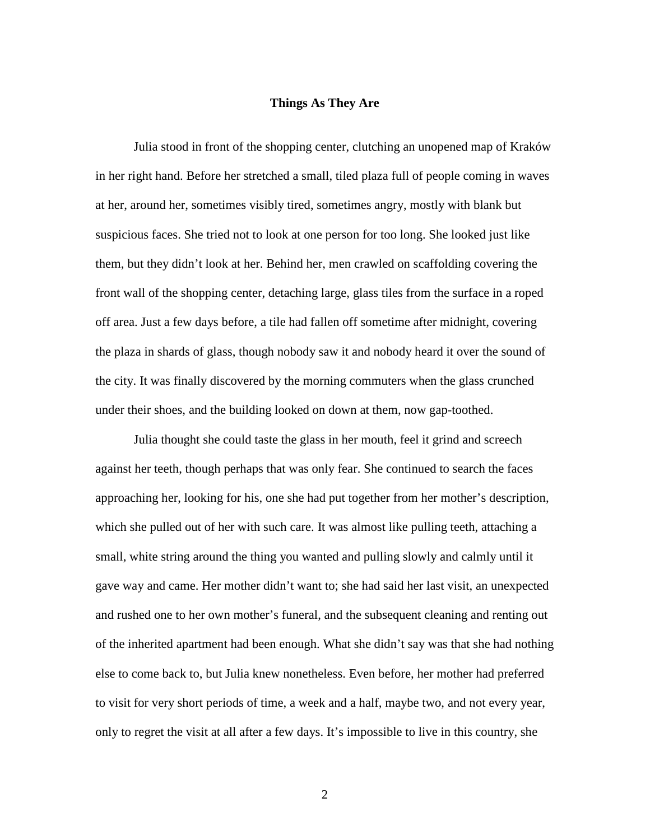#### **Things As They Are**

Julia stood in front of the shopping center, clutching an unopened map of Kraków in her right hand. Before her stretched a small, tiled plaza full of people coming in waves at her, around her, sometimes visibly tired, sometimes angry, mostly with blank but suspicious faces. She tried not to look at one person for too long. She looked just like them, but they didn't look at her. Behind her, men crawled on scaffolding covering the front wall of the shopping center, detaching large, glass tiles from the surface in a roped off area. Just a few days before, a tile had fallen off sometime after midnight, covering the plaza in shards of glass, though nobody saw it and nobody heard it over the sound of the city. It was finally discovered by the morning commuters when the glass crunched under their shoes, and the building looked on down at them, now gap-toothed.

Julia thought she could taste the glass in her mouth, feel it grind and screech against her teeth, though perhaps that was only fear. She continued to search the faces approaching her, looking for his, one she had put together from her mother's description, which she pulled out of her with such care. It was almost like pulling teeth, attaching a small, white string around the thing you wanted and pulling slowly and calmly until it gave way and came. Her mother didn't want to; she had said her last visit, an unexpected and rushed one to her own mother's funeral, and the subsequent cleaning and renting out of the inherited apartment had been enough. What she didn't say was that she had nothing else to come back to, but Julia knew nonetheless. Even before, her mother had preferred to visit for very short periods of time, a week and a half, maybe two, and not every year, only to regret the visit at all after a few days. It's impossible to live in this country, she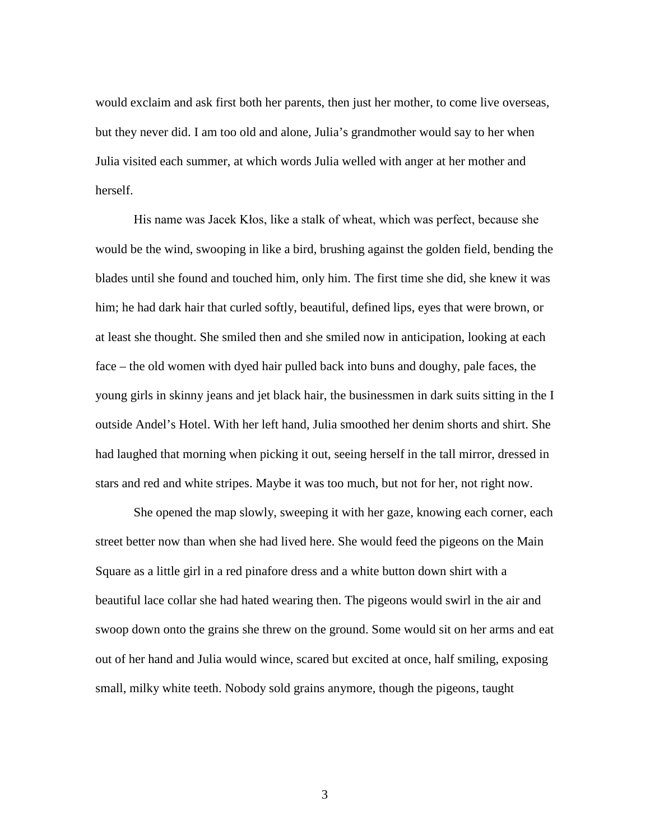would exclaim and ask first both her parents, then just her mother, to come live overseas, but they never did. I am too old and alone, Julia's grandmother would say to her when Julia visited each summer, at which words Julia welled with anger at her mother and herself.

His name was Jacek Kłos, like a stalk of wheat, which was perfect, because she would be the wind, swooping in like a bird, brushing against the golden field, bending the blades until she found and touched him, only him. The first time she did, she knew it was him; he had dark hair that curled softly, beautiful, defined lips, eyes that were brown, or at least she thought. She smiled then and she smiled now in anticipation, looking at each face – the old women with dyed hair pulled back into buns and doughy, pale faces, the young girls in skinny jeans and jet black hair, the businessmen in dark suits sitting in the I outside Andel's Hotel. With her left hand, Julia smoothed her denim shorts and shirt. She had laughed that morning when picking it out, seeing herself in the tall mirror, dressed in stars and red and white stripes. Maybe it was too much, but not for her, not right now.

She opened the map slowly, sweeping it with her gaze, knowing each corner, each street better now than when she had lived here. She would feed the pigeons on the Main Square as a little girl in a red pinafore dress and a white button down shirt with a beautiful lace collar she had hated wearing then. The pigeons would swirl in the air and swoop down onto the grains she threw on the ground. Some would sit on her arms and eat out of her hand and Julia would wince, scared but excited at once, half smiling, exposing small, milky white teeth. Nobody sold grains anymore, though the pigeons, taught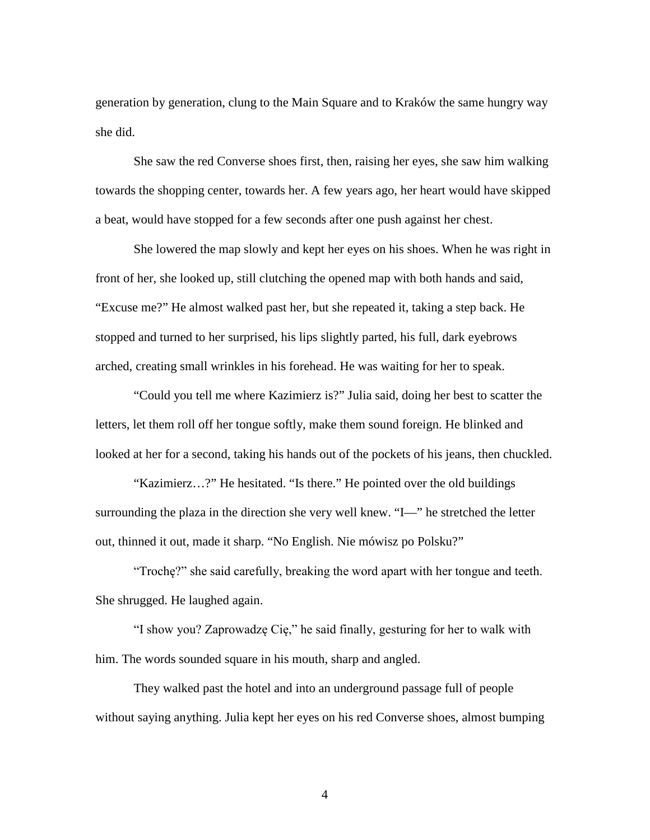generation by generation, clung to the Main Square and to Kraków the same hungry way she did.

She saw the red Converse shoes first, then, raising her eyes, she saw him walking towards the shopping center, towards her. A few years ago, her heart would have skipped a beat, would have stopped for a few seconds after one push against her chest.

She lowered the map slowly and kept her eyes on his shoes. When he was right in front of her, she looked up, still clutching the opened map with both hands and said, "Excuse me?" He almost walked past her, but she repeated it, taking a step back. He stopped and turned to her surprised, his lips slightly parted, his full, dark eyebrows arched, creating small wrinkles in his forehead. He was waiting for her to speak.

"Could you tell me where Kazimierz is?" Julia said, doing her best to scatter the letters, let them roll off her tongue softly, make them sound foreign. He blinked and looked at her for a second, taking his hands out of the pockets of his jeans, then chuckled.

"Kazimierz…?" He hesitated. "Is there." He pointed over the old buildings surrounding the plaza in the direction she very well knew. "I—" he stretched the letter out, thinned it out, made it sharp. "No English. Nie mówisz po Polsku?"

"Trochę?" she said carefully, breaking the word apart with her tongue and teeth. She shrugged. He laughed again.

"I show you? Zaprowadzę Cię," he said finally, gesturing for her to walk with him. The words sounded square in his mouth, sharp and angled.

They walked past the hotel and into an underground passage full of people without saying anything. Julia kept her eyes on his red Converse shoes, almost bumping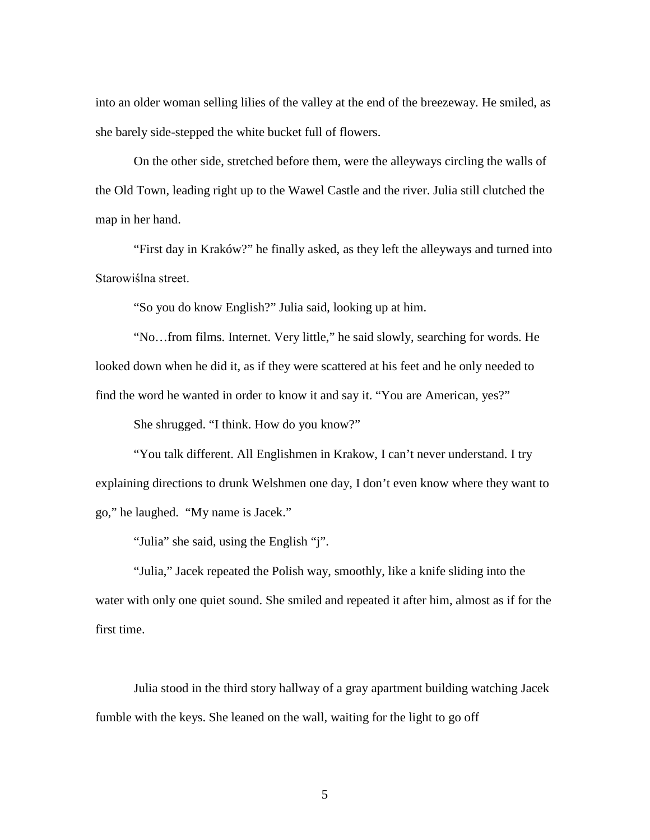into an older woman selling lilies of the valley at the end of the breezeway. He smiled, as she barely side-stepped the white bucket full of flowers.

On the other side, stretched before them, were the alleyways circling the walls of the Old Town, leading right up to the Wawel Castle and the river. Julia still clutched the map in her hand.

"First day in Kraków?" he finally asked, as they left the alleyways and turned into Starowiślna street.

"So you do know English?" Julia said, looking up at him.

"No…from films. Internet. Very little," he said slowly, searching for words. He looked down when he did it, as if they were scattered at his feet and he only needed to find the word he wanted in order to know it and say it. "You are American, yes?"

She shrugged. "I think. How do you know?"

"You talk different. All Englishmen in Krakow, I can't never understand. I try explaining directions to drunk Welshmen one day, I don't even know where they want to go," he laughed. "My name is Jacek."

"Julia" she said, using the English "j".

"Julia," Jacek repeated the Polish way, smoothly, like a knife sliding into the water with only one quiet sound. She smiled and repeated it after him, almost as if for the first time.

Julia stood in the third story hallway of a gray apartment building watching Jacek fumble with the keys. She leaned on the wall, waiting for the light to go off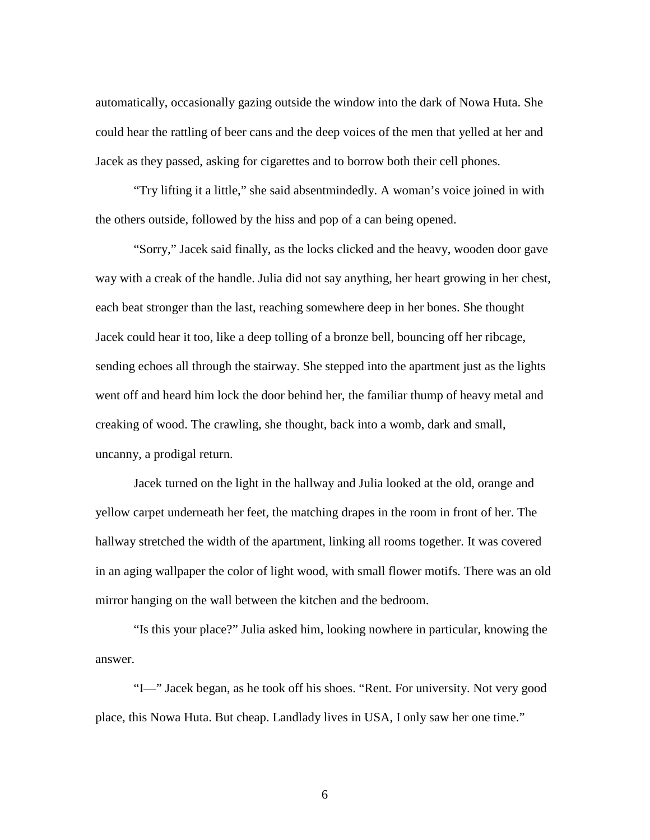automatically, occasionally gazing outside the window into the dark of Nowa Huta. She could hear the rattling of beer cans and the deep voices of the men that yelled at her and Jacek as they passed, asking for cigarettes and to borrow both their cell phones.

"Try lifting it a little," she said absentmindedly. A woman's voice joined in with the others outside, followed by the hiss and pop of a can being opened.

"Sorry," Jacek said finally, as the locks clicked and the heavy, wooden door gave way with a creak of the handle. Julia did not say anything, her heart growing in her chest, each beat stronger than the last, reaching somewhere deep in her bones. She thought Jacek could hear it too, like a deep tolling of a bronze bell, bouncing off her ribcage, sending echoes all through the stairway. She stepped into the apartment just as the lights went off and heard him lock the door behind her, the familiar thump of heavy metal and creaking of wood. The crawling, she thought, back into a womb, dark and small, uncanny, a prodigal return.

Jacek turned on the light in the hallway and Julia looked at the old, orange and yellow carpet underneath her feet, the matching drapes in the room in front of her. The hallway stretched the width of the apartment, linking all rooms together. It was covered in an aging wallpaper the color of light wood, with small flower motifs. There was an old mirror hanging on the wall between the kitchen and the bedroom.

"Is this your place?" Julia asked him, looking nowhere in particular, knowing the answer.

"I—" Jacek began, as he took off his shoes. "Rent. For university. Not very good place, this Nowa Huta. But cheap. Landlady lives in USA, I only saw her one time."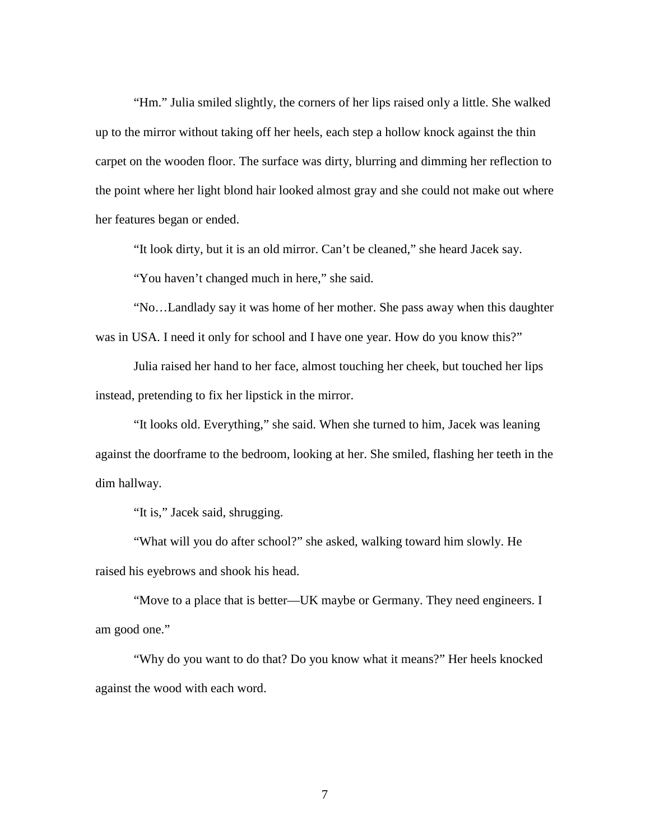"Hm." Julia smiled slightly, the corners of her lips raised only a little. She walked up to the mirror without taking off her heels, each step a hollow knock against the thin carpet on the wooden floor. The surface was dirty, blurring and dimming her reflection to the point where her light blond hair looked almost gray and she could not make out where her features began or ended.

"It look dirty, but it is an old mirror. Can't be cleaned," she heard Jacek say.

"You haven't changed much in here," she said.

"No…Landlady say it was home of her mother. She pass away when this daughter was in USA. I need it only for school and I have one year. How do you know this?"

Julia raised her hand to her face, almost touching her cheek, but touched her lips instead, pretending to fix her lipstick in the mirror.

"It looks old. Everything," she said. When she turned to him, Jacek was leaning against the doorframe to the bedroom, looking at her. She smiled, flashing her teeth in the dim hallway.

"It is," Jacek said, shrugging.

"What will you do after school?" she asked, walking toward him slowly. He raised his eyebrows and shook his head.

"Move to a place that is better—UK maybe or Germany. They need engineers. I am good one."

"Why do you want to do that? Do you know what it means?" Her heels knocked against the wood with each word.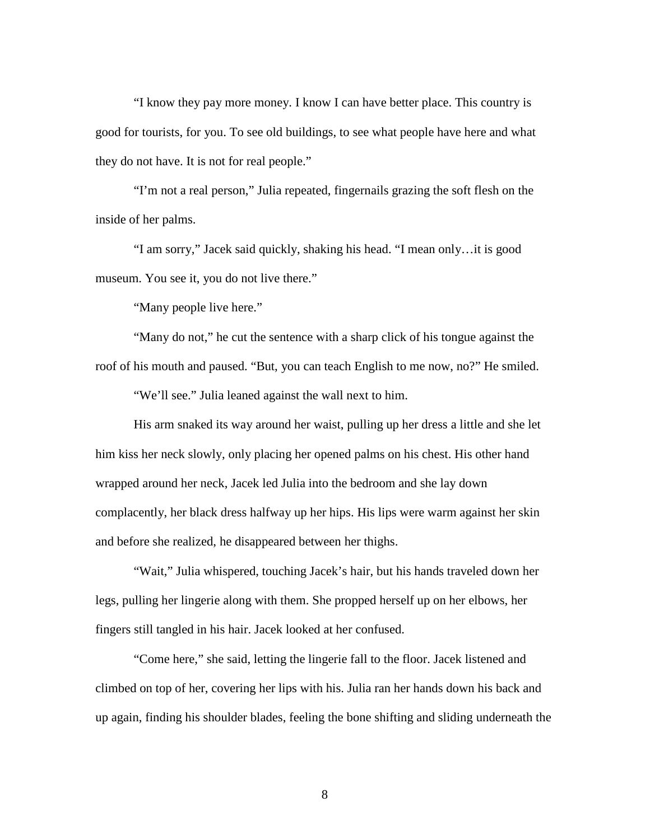"I know they pay more money. I know I can have better place. This country is good for tourists, for you. To see old buildings, to see what people have here and what they do not have. It is not for real people."

"I'm not a real person," Julia repeated, fingernails grazing the soft flesh on the inside of her palms.

"I am sorry," Jacek said quickly, shaking his head. "I mean only…it is good museum. You see it, you do not live there."

"Many people live here."

"Many do not," he cut the sentence with a sharp click of his tongue against the roof of his mouth and paused. "But, you can teach English to me now, no?" He smiled.

"We'll see." Julia leaned against the wall next to him.

His arm snaked its way around her waist, pulling up her dress a little and she let him kiss her neck slowly, only placing her opened palms on his chest. His other hand wrapped around her neck, Jacek led Julia into the bedroom and she lay down complacently, her black dress halfway up her hips. His lips were warm against her skin and before she realized, he disappeared between her thighs.

"Wait," Julia whispered, touching Jacek's hair, but his hands traveled down her legs, pulling her lingerie along with them. She propped herself up on her elbows, her fingers still tangled in his hair. Jacek looked at her confused.

"Come here," she said, letting the lingerie fall to the floor. Jacek listened and climbed on top of her, covering her lips with his. Julia ran her hands down his back and up again, finding his shoulder blades, feeling the bone shifting and sliding underneath the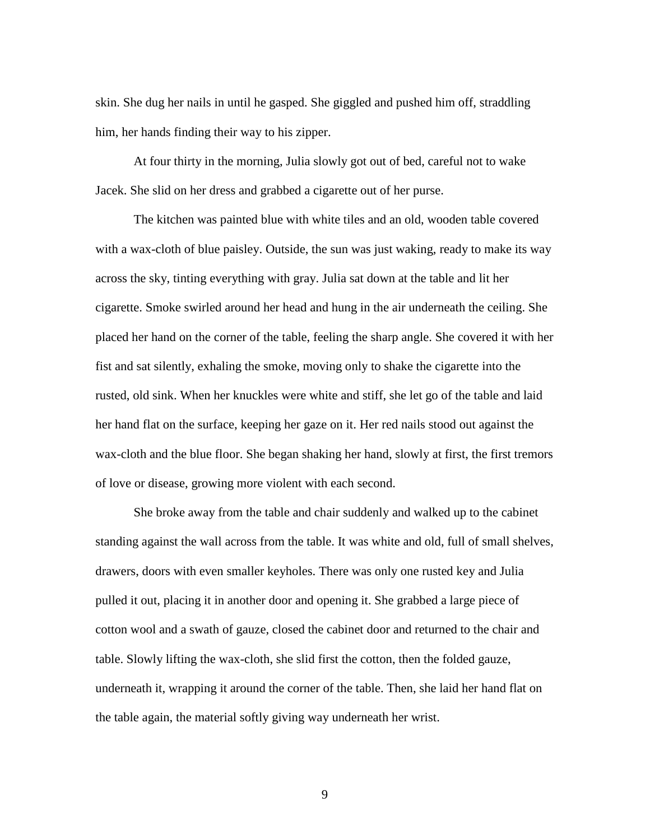skin. She dug her nails in until he gasped. She giggled and pushed him off, straddling him, her hands finding their way to his zipper.

At four thirty in the morning, Julia slowly got out of bed, careful not to wake Jacek. She slid on her dress and grabbed a cigarette out of her purse.

The kitchen was painted blue with white tiles and an old, wooden table covered with a wax-cloth of blue paisley. Outside, the sun was just waking, ready to make its way across the sky, tinting everything with gray. Julia sat down at the table and lit her cigarette. Smoke swirled around her head and hung in the air underneath the ceiling. She placed her hand on the corner of the table, feeling the sharp angle. She covered it with her fist and sat silently, exhaling the smoke, moving only to shake the cigarette into the rusted, old sink. When her knuckles were white and stiff, she let go of the table and laid her hand flat on the surface, keeping her gaze on it. Her red nails stood out against the wax-cloth and the blue floor. She began shaking her hand, slowly at first, the first tremors of love or disease, growing more violent with each second.

She broke away from the table and chair suddenly and walked up to the cabinet standing against the wall across from the table. It was white and old, full of small shelves, drawers, doors with even smaller keyholes. There was only one rusted key and Julia pulled it out, placing it in another door and opening it. She grabbed a large piece of cotton wool and a swath of gauze, closed the cabinet door and returned to the chair and table. Slowly lifting the wax-cloth, she slid first the cotton, then the folded gauze, underneath it, wrapping it around the corner of the table. Then, she laid her hand flat on the table again, the material softly giving way underneath her wrist.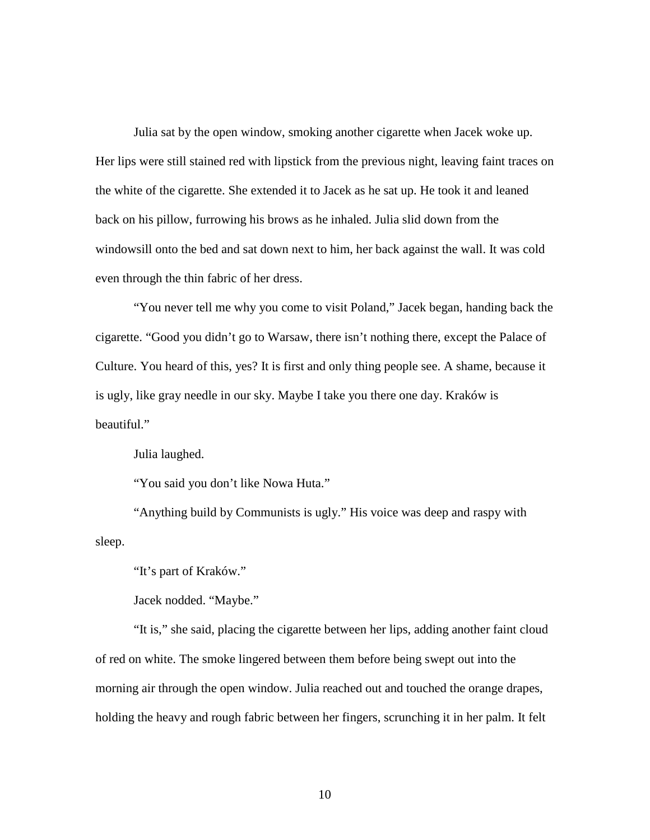Julia sat by the open window, smoking another cigarette when Jacek woke up. Her lips were still stained red with lipstick from the previous night, leaving faint traces on the white of the cigarette. She extended it to Jacek as he sat up. He took it and leaned back on his pillow, furrowing his brows as he inhaled. Julia slid down from the windowsill onto the bed and sat down next to him, her back against the wall. It was cold even through the thin fabric of her dress.

"You never tell me why you come to visit Poland," Jacek began, handing back the cigarette. "Good you didn't go to Warsaw, there isn't nothing there, except the Palace of Culture. You heard of this, yes? It is first and only thing people see. A shame, because it is ugly, like gray needle in our sky. Maybe I take you there one day. Kraków is beautiful."

Julia laughed.

"You said you don't like Nowa Huta."

"Anything build by Communists is ugly." His voice was deep and raspy with sleep.

"It's part of Kraków."

Jacek nodded. "Maybe."

"It is," she said, placing the cigarette between her lips, adding another faint cloud of red on white. The smoke lingered between them before being swept out into the morning air through the open window. Julia reached out and touched the orange drapes, holding the heavy and rough fabric between her fingers, scrunching it in her palm. It felt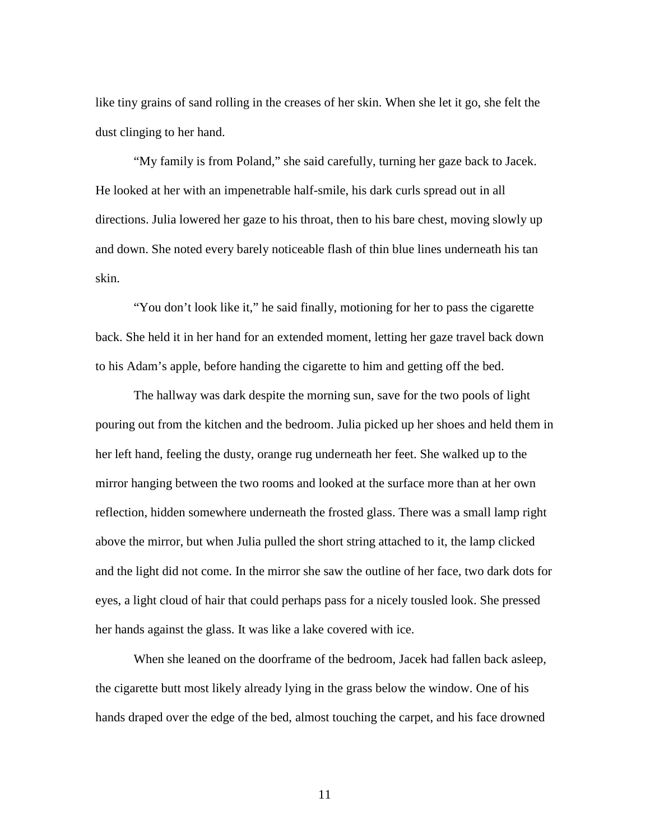like tiny grains of sand rolling in the creases of her skin. When she let it go, she felt the dust clinging to her hand.

"My family is from Poland," she said carefully, turning her gaze back to Jacek. He looked at her with an impenetrable half-smile, his dark curls spread out in all directions. Julia lowered her gaze to his throat, then to his bare chest, moving slowly up and down. She noted every barely noticeable flash of thin blue lines underneath his tan skin.

"You don't look like it," he said finally, motioning for her to pass the cigarette back. She held it in her hand for an extended moment, letting her gaze travel back down to his Adam's apple, before handing the cigarette to him and getting off the bed.

The hallway was dark despite the morning sun, save for the two pools of light pouring out from the kitchen and the bedroom. Julia picked up her shoes and held them in her left hand, feeling the dusty, orange rug underneath her feet. She walked up to the mirror hanging between the two rooms and looked at the surface more than at her own reflection, hidden somewhere underneath the frosted glass. There was a small lamp right above the mirror, but when Julia pulled the short string attached to it, the lamp clicked and the light did not come. In the mirror she saw the outline of her face, two dark dots for eyes, a light cloud of hair that could perhaps pass for a nicely tousled look. She pressed her hands against the glass. It was like a lake covered with ice.

When she leaned on the doorframe of the bedroom, Jacek had fallen back asleep, the cigarette butt most likely already lying in the grass below the window. One of his hands draped over the edge of the bed, almost touching the carpet, and his face drowned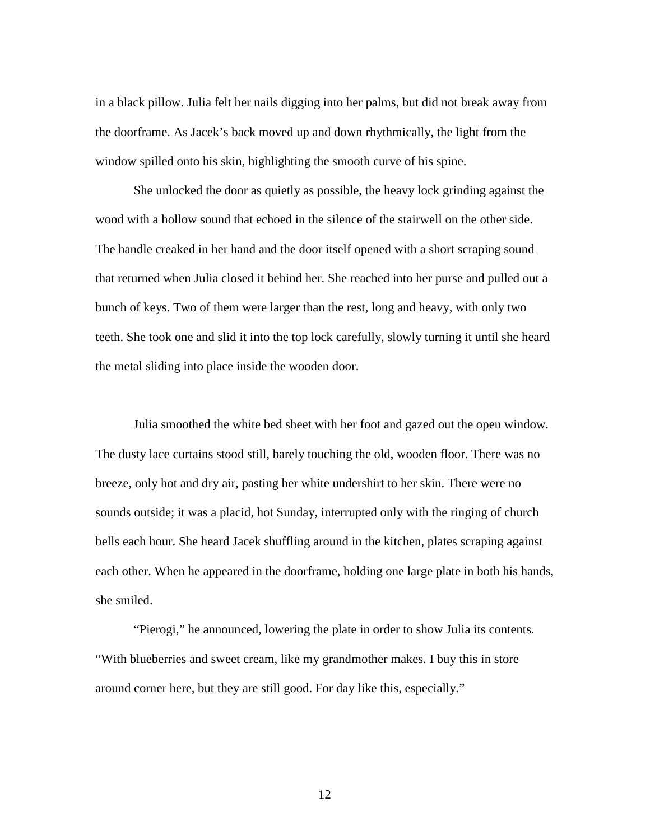in a black pillow. Julia felt her nails digging into her palms, but did not break away from the doorframe. As Jacek's back moved up and down rhythmically, the light from the window spilled onto his skin, highlighting the smooth curve of his spine.

She unlocked the door as quietly as possible, the heavy lock grinding against the wood with a hollow sound that echoed in the silence of the stairwell on the other side. The handle creaked in her hand and the door itself opened with a short scraping sound that returned when Julia closed it behind her. She reached into her purse and pulled out a bunch of keys. Two of them were larger than the rest, long and heavy, with only two teeth. She took one and slid it into the top lock carefully, slowly turning it until she heard the metal sliding into place inside the wooden door.

Julia smoothed the white bed sheet with her foot and gazed out the open window. The dusty lace curtains stood still, barely touching the old, wooden floor. There was no breeze, only hot and dry air, pasting her white undershirt to her skin. There were no sounds outside; it was a placid, hot Sunday, interrupted only with the ringing of church bells each hour. She heard Jacek shuffling around in the kitchen, plates scraping against each other. When he appeared in the doorframe, holding one large plate in both his hands, she smiled.

"Pierogi," he announced, lowering the plate in order to show Julia its contents. "With blueberries and sweet cream, like my grandmother makes. I buy this in store around corner here, but they are still good. For day like this, especially."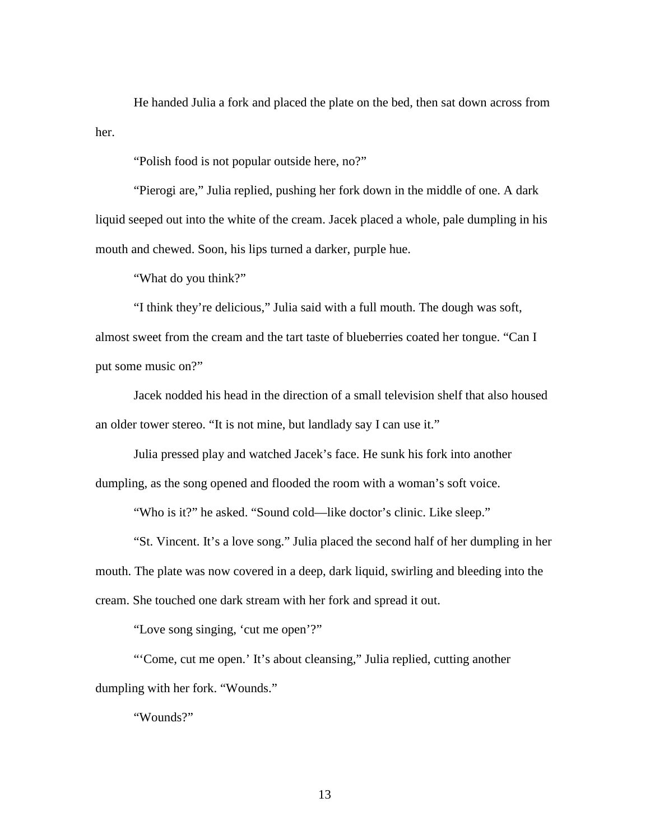He handed Julia a fork and placed the plate on the bed, then sat down across from her.

"Polish food is not popular outside here, no?"

"Pierogi are," Julia replied, pushing her fork down in the middle of one. A dark liquid seeped out into the white of the cream. Jacek placed a whole, pale dumpling in his mouth and chewed. Soon, his lips turned a darker, purple hue.

"What do you think?"

"I think they're delicious," Julia said with a full mouth. The dough was soft, almost sweet from the cream and the tart taste of blueberries coated her tongue. "Can I put some music on?"

Jacek nodded his head in the direction of a small television shelf that also housed an older tower stereo. "It is not mine, but landlady say I can use it."

Julia pressed play and watched Jacek's face. He sunk his fork into another dumpling, as the song opened and flooded the room with a woman's soft voice.

"Who is it?" he asked. "Sound cold—like doctor's clinic. Like sleep."

"St. Vincent. It's a love song." Julia placed the second half of her dumpling in her mouth. The plate was now covered in a deep, dark liquid, swirling and bleeding into the cream. She touched one dark stream with her fork and spread it out.

"Love song singing, 'cut me open'?"

"'Come, cut me open.' It's about cleansing," Julia replied, cutting another dumpling with her fork. "Wounds."

"Wounds?"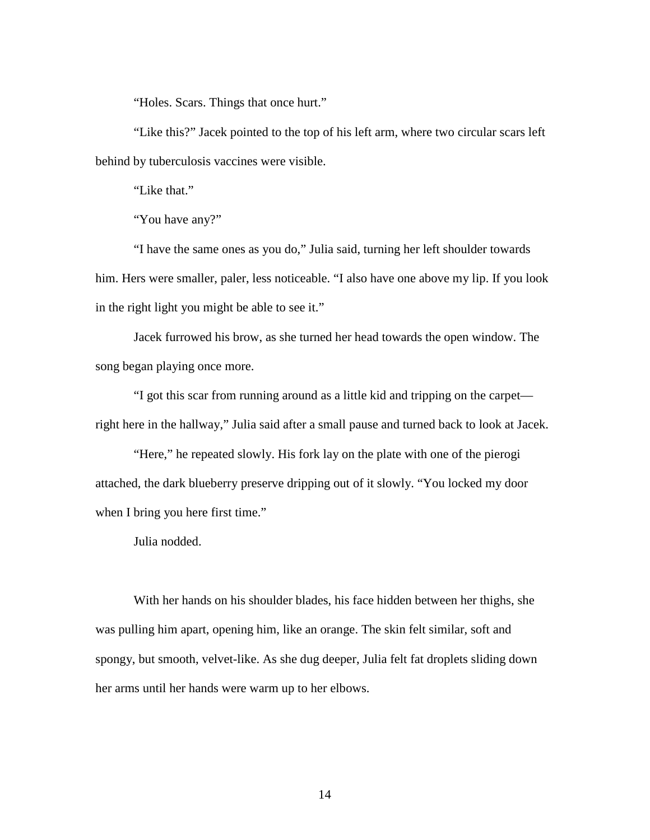"Holes. Scars. Things that once hurt."

"Like this?" Jacek pointed to the top of his left arm, where two circular scars left behind by tuberculosis vaccines were visible.

"Like that."

"You have any?"

"I have the same ones as you do," Julia said, turning her left shoulder towards him. Hers were smaller, paler, less noticeable. "I also have one above my lip. If you look in the right light you might be able to see it."

Jacek furrowed his brow, as she turned her head towards the open window. The song began playing once more.

"I got this scar from running around as a little kid and tripping on the carpet right here in the hallway," Julia said after a small pause and turned back to look at Jacek.

"Here," he repeated slowly. His fork lay on the plate with one of the pierogi attached, the dark blueberry preserve dripping out of it slowly. "You locked my door when I bring you here first time."

Julia nodded.

With her hands on his shoulder blades, his face hidden between her thighs, she was pulling him apart, opening him, like an orange. The skin felt similar, soft and spongy, but smooth, velvet-like. As she dug deeper, Julia felt fat droplets sliding down her arms until her hands were warm up to her elbows.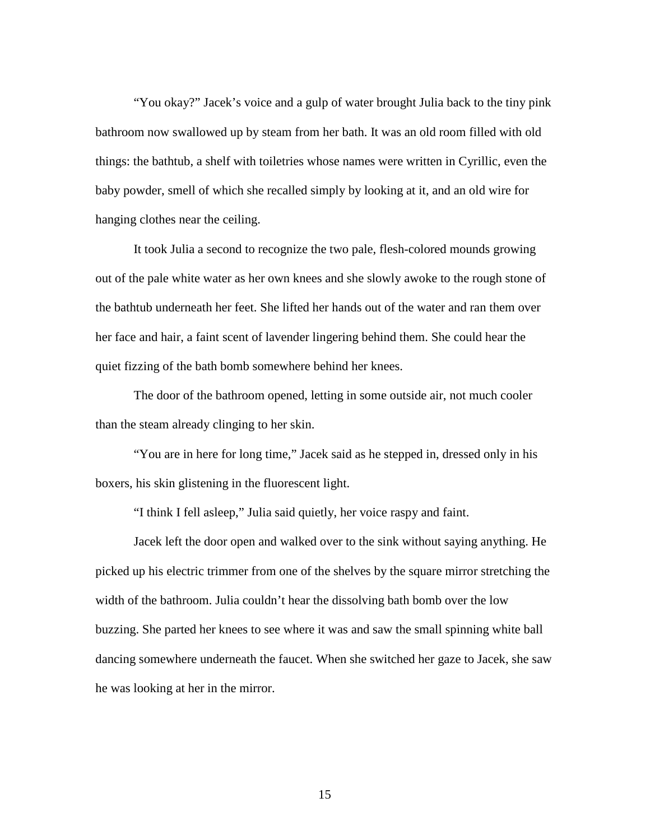"You okay?" Jacek's voice and a gulp of water brought Julia back to the tiny pink bathroom now swallowed up by steam from her bath. It was an old room filled with old things: the bathtub, a shelf with toiletries whose names were written in Cyrillic, even the baby powder, smell of which she recalled simply by looking at it, and an old wire for hanging clothes near the ceiling.

It took Julia a second to recognize the two pale, flesh-colored mounds growing out of the pale white water as her own knees and she slowly awoke to the rough stone of the bathtub underneath her feet. She lifted her hands out of the water and ran them over her face and hair, a faint scent of lavender lingering behind them. She could hear the quiet fizzing of the bath bomb somewhere behind her knees.

The door of the bathroom opened, letting in some outside air, not much cooler than the steam already clinging to her skin.

"You are in here for long time," Jacek said as he stepped in, dressed only in his boxers, his skin glistening in the fluorescent light.

"I think I fell asleep," Julia said quietly, her voice raspy and faint.

Jacek left the door open and walked over to the sink without saying anything. He picked up his electric trimmer from one of the shelves by the square mirror stretching the width of the bathroom. Julia couldn't hear the dissolving bath bomb over the low buzzing. She parted her knees to see where it was and saw the small spinning white ball dancing somewhere underneath the faucet. When she switched her gaze to Jacek, she saw he was looking at her in the mirror.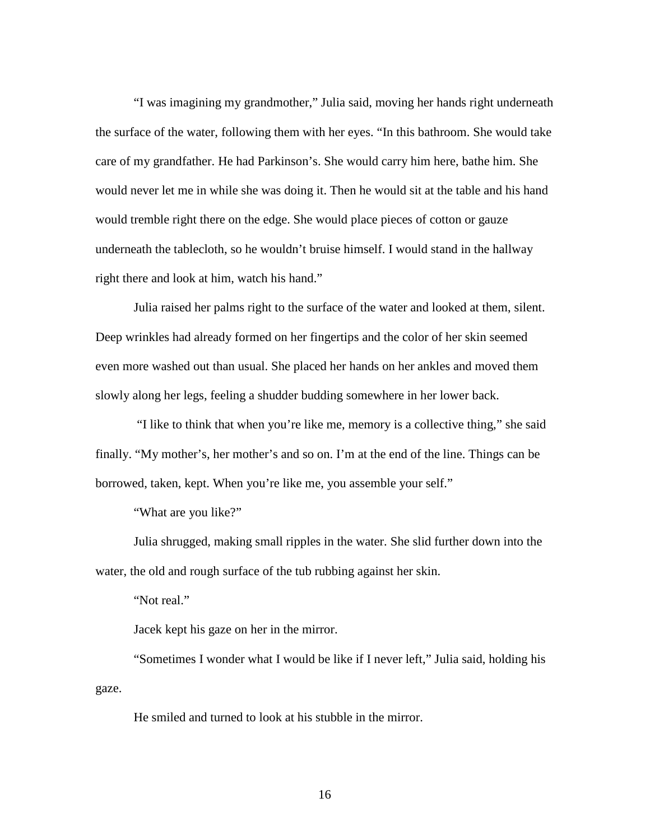"I was imagining my grandmother," Julia said, moving her hands right underneath the surface of the water, following them with her eyes. "In this bathroom. She would take care of my grandfather. He had Parkinson's. She would carry him here, bathe him. She would never let me in while she was doing it. Then he would sit at the table and his hand would tremble right there on the edge. She would place pieces of cotton or gauze underneath the tablecloth, so he wouldn't bruise himself. I would stand in the hallway right there and look at him, watch his hand."

Julia raised her palms right to the surface of the water and looked at them, silent. Deep wrinkles had already formed on her fingertips and the color of her skin seemed even more washed out than usual. She placed her hands on her ankles and moved them slowly along her legs, feeling a shudder budding somewhere in her lower back.

"I like to think that when you're like me, memory is a collective thing," she said finally. "My mother's, her mother's and so on. I'm at the end of the line. Things can be borrowed, taken, kept. When you're like me, you assemble your self."

"What are you like?"

Julia shrugged, making small ripples in the water. She slid further down into the water, the old and rough surface of the tub rubbing against her skin.

"Not real."

Jacek kept his gaze on her in the mirror.

"Sometimes I wonder what I would be like if I never left," Julia said, holding his gaze.

He smiled and turned to look at his stubble in the mirror.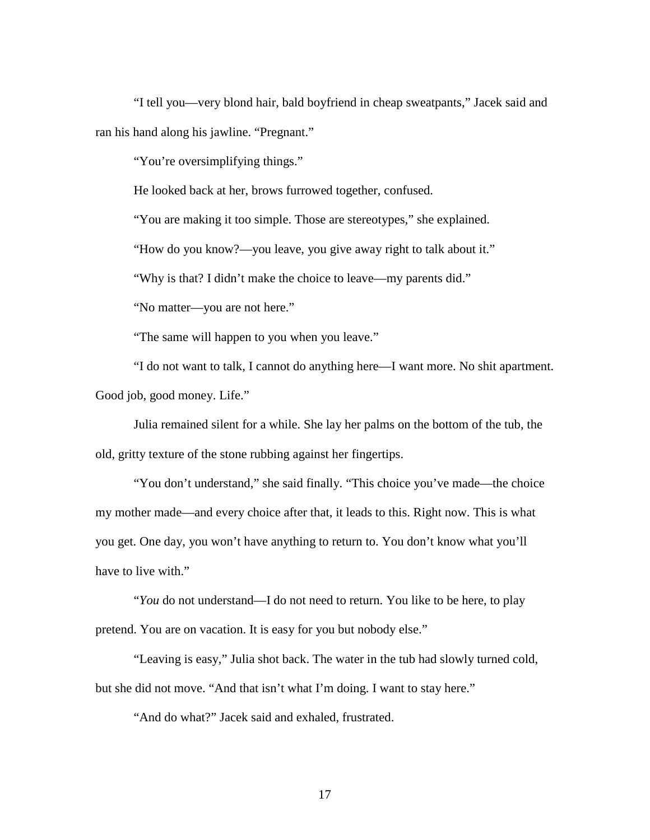"I tell you—very blond hair, bald boyfriend in cheap sweatpants," Jacek said and ran his hand along his jawline. "Pregnant."

"You're oversimplifying things."

He looked back at her, brows furrowed together, confused.

"You are making it too simple. Those are stereotypes," she explained.

"How do you know?—you leave, you give away right to talk about it."

"Why is that? I didn't make the choice to leave—my parents did."

"No matter—you are not here."

"The same will happen to you when you leave."

"I do not want to talk, I cannot do anything here—I want more. No shit apartment. Good job, good money. Life."

Julia remained silent for a while. She lay her palms on the bottom of the tub, the old, gritty texture of the stone rubbing against her fingertips.

"You don't understand," she said finally. "This choice you've made—the choice my mother made—and every choice after that, it leads to this. Right now. This is what you get. One day, you won't have anything to return to. You don't know what you'll have to live with."

"*You* do not understand—I do not need to return. You like to be here, to play pretend. You are on vacation. It is easy for you but nobody else."

"Leaving is easy," Julia shot back. The water in the tub had slowly turned cold, but she did not move. "And that isn't what I'm doing. I want to stay here."

"And do what?" Jacek said and exhaled, frustrated.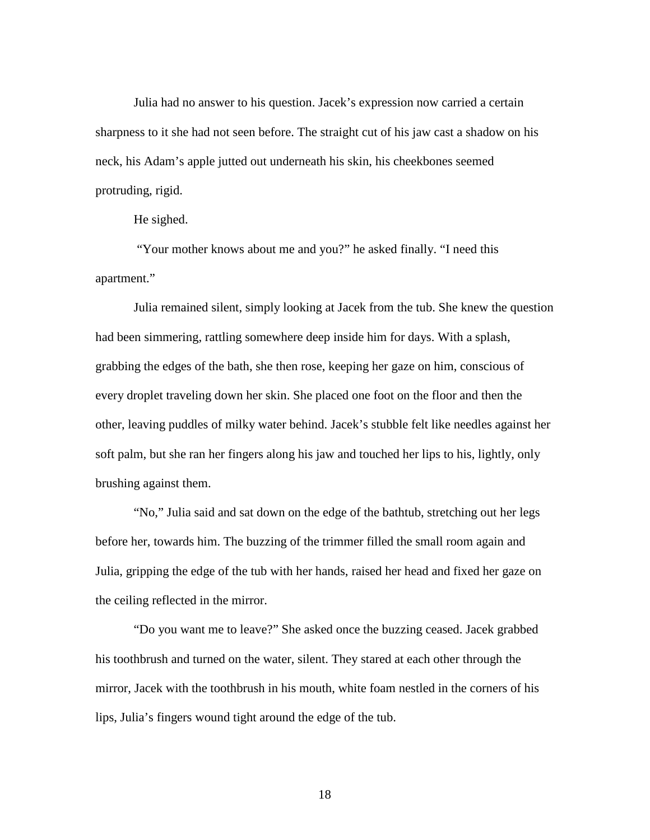Julia had no answer to his question. Jacek's expression now carried a certain sharpness to it she had not seen before. The straight cut of his jaw cast a shadow on his neck, his Adam's apple jutted out underneath his skin, his cheekbones seemed protruding, rigid.

He sighed.

"Your mother knows about me and you?" he asked finally. "I need this apartment."

Julia remained silent, simply looking at Jacek from the tub. She knew the question had been simmering, rattling somewhere deep inside him for days. With a splash, grabbing the edges of the bath, she then rose, keeping her gaze on him, conscious of every droplet traveling down her skin. She placed one foot on the floor and then the other, leaving puddles of milky water behind. Jacek's stubble felt like needles against her soft palm, but she ran her fingers along his jaw and touched her lips to his, lightly, only brushing against them.

"No," Julia said and sat down on the edge of the bathtub, stretching out her legs before her, towards him. The buzzing of the trimmer filled the small room again and Julia, gripping the edge of the tub with her hands, raised her head and fixed her gaze on the ceiling reflected in the mirror.

"Do you want me to leave?" She asked once the buzzing ceased. Jacek grabbed his toothbrush and turned on the water, silent. They stared at each other through the mirror, Jacek with the toothbrush in his mouth, white foam nestled in the corners of his lips, Julia's fingers wound tight around the edge of the tub.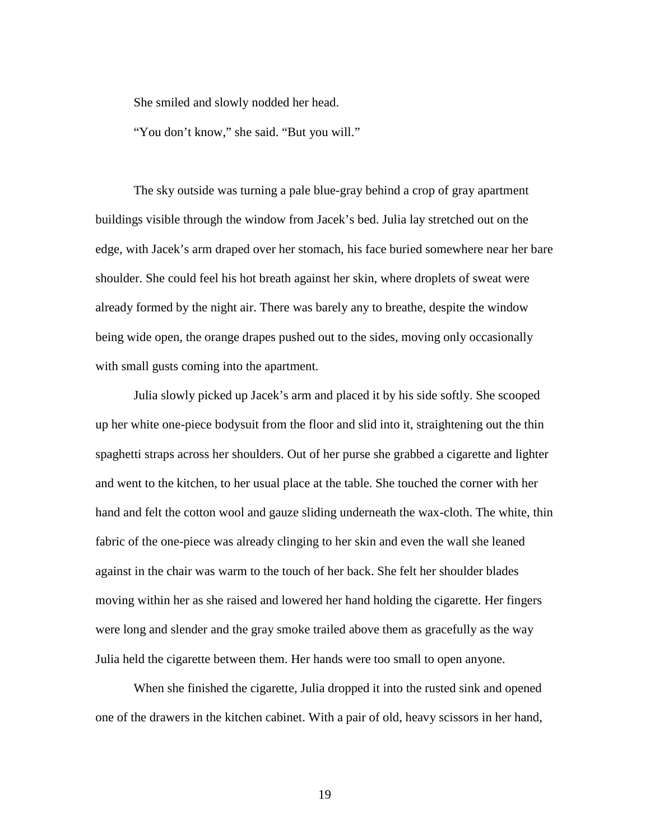She smiled and slowly nodded her head.

"You don't know," she said. "But you will."

The sky outside was turning a pale blue-gray behind a crop of gray apartment buildings visible through the window from Jacek's bed. Julia lay stretched out on the edge, with Jacek's arm draped over her stomach, his face buried somewhere near her bare shoulder. She could feel his hot breath against her skin, where droplets of sweat were already formed by the night air. There was barely any to breathe, despite the window being wide open, the orange drapes pushed out to the sides, moving only occasionally with small gusts coming into the apartment.

Julia slowly picked up Jacek's arm and placed it by his side softly. She scooped up her white one-piece bodysuit from the floor and slid into it, straightening out the thin spaghetti straps across her shoulders. Out of her purse she grabbed a cigarette and lighter and went to the kitchen, to her usual place at the table. She touched the corner with her hand and felt the cotton wool and gauze sliding underneath the wax-cloth. The white, thin fabric of the one-piece was already clinging to her skin and even the wall she leaned against in the chair was warm to the touch of her back. She felt her shoulder blades moving within her as she raised and lowered her hand holding the cigarette. Her fingers were long and slender and the gray smoke trailed above them as gracefully as the way Julia held the cigarette between them. Her hands were too small to open anyone.

When she finished the cigarette, Julia dropped it into the rusted sink and opened one of the drawers in the kitchen cabinet. With a pair of old, heavy scissors in her hand,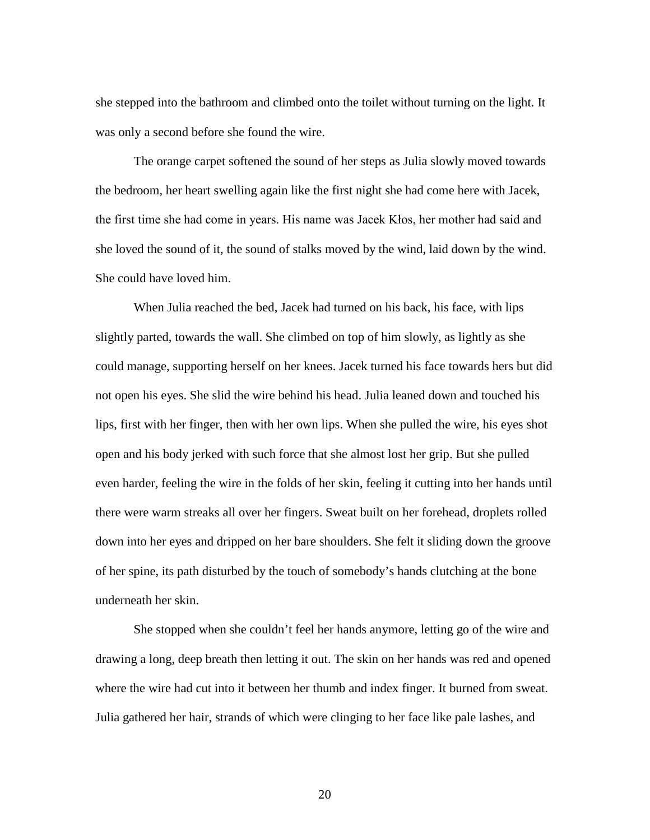she stepped into the bathroom and climbed onto the toilet without turning on the light. It was only a second before she found the wire.

The orange carpet softened the sound of her steps as Julia slowly moved towards the bedroom, her heart swelling again like the first night she had come here with Jacek, the first time she had come in years. His name was Jacek Kłos, her mother had said and she loved the sound of it, the sound of stalks moved by the wind, laid down by the wind. She could have loved him.

When Julia reached the bed, Jacek had turned on his back, his face, with lips slightly parted, towards the wall. She climbed on top of him slowly, as lightly as she could manage, supporting herself on her knees. Jacek turned his face towards hers but did not open his eyes. She slid the wire behind his head. Julia leaned down and touched his lips, first with her finger, then with her own lips. When she pulled the wire, his eyes shot open and his body jerked with such force that she almost lost her grip. But she pulled even harder, feeling the wire in the folds of her skin, feeling it cutting into her hands until there were warm streaks all over her fingers. Sweat built on her forehead, droplets rolled down into her eyes and dripped on her bare shoulders. She felt it sliding down the groove of her spine, its path disturbed by the touch of somebody's hands clutching at the bone underneath her skin.

She stopped when she couldn't feel her hands anymore, letting go of the wire and drawing a long, deep breath then letting it out. The skin on her hands was red and opened where the wire had cut into it between her thumb and index finger. It burned from sweat. Julia gathered her hair, strands of which were clinging to her face like pale lashes, and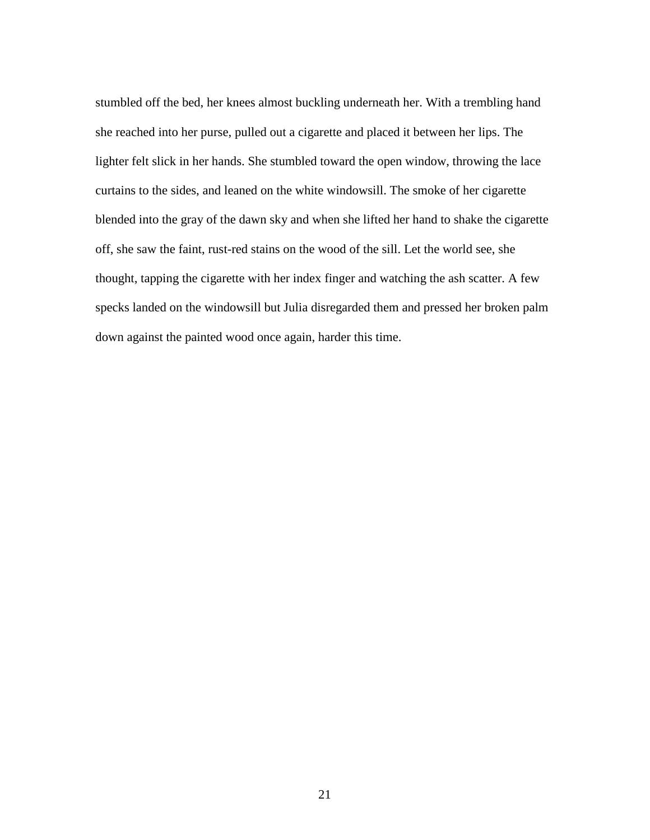stumbled off the bed, her knees almost buckling underneath her. With a trembling hand she reached into her purse, pulled out a cigarette and placed it between her lips. The lighter felt slick in her hands. She stumbled toward the open window, throwing the lace curtains to the sides, and leaned on the white windowsill. The smoke of her cigarette blended into the gray of the dawn sky and when she lifted her hand to shake the cigarette off, she saw the faint, rust-red stains on the wood of the sill. Let the world see, she thought, tapping the cigarette with her index finger and watching the ash scatter. A few specks landed on the windowsill but Julia disregarded them and pressed her broken palm down against the painted wood once again, harder this time.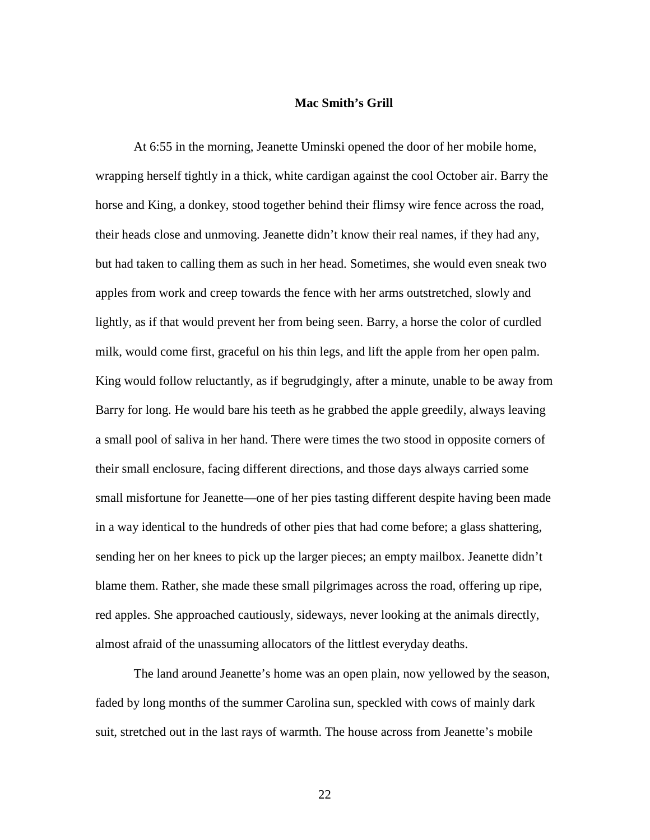#### **Mac Smith's Grill**

At 6:55 in the morning, Jeanette Uminski opened the door of her mobile home, wrapping herself tightly in a thick, white cardigan against the cool October air. Barry the horse and King, a donkey, stood together behind their flimsy wire fence across the road, their heads close and unmoving. Jeanette didn't know their real names, if they had any, but had taken to calling them as such in her head. Sometimes, she would even sneak two apples from work and creep towards the fence with her arms outstretched, slowly and lightly, as if that would prevent her from being seen. Barry, a horse the color of curdled milk, would come first, graceful on his thin legs, and lift the apple from her open palm. King would follow reluctantly, as if begrudgingly, after a minute, unable to be away from Barry for long. He would bare his teeth as he grabbed the apple greedily, always leaving a small pool of saliva in her hand. There were times the two stood in opposite corners of their small enclosure, facing different directions, and those days always carried some small misfortune for Jeanette—one of her pies tasting different despite having been made in a way identical to the hundreds of other pies that had come before; a glass shattering, sending her on her knees to pick up the larger pieces; an empty mailbox. Jeanette didn't blame them. Rather, she made these small pilgrimages across the road, offering up ripe, red apples. She approached cautiously, sideways, never looking at the animals directly, almost afraid of the unassuming allocators of the littlest everyday deaths.

The land around Jeanette's home was an open plain, now yellowed by the season, faded by long months of the summer Carolina sun, speckled with cows of mainly dark suit, stretched out in the last rays of warmth. The house across from Jeanette's mobile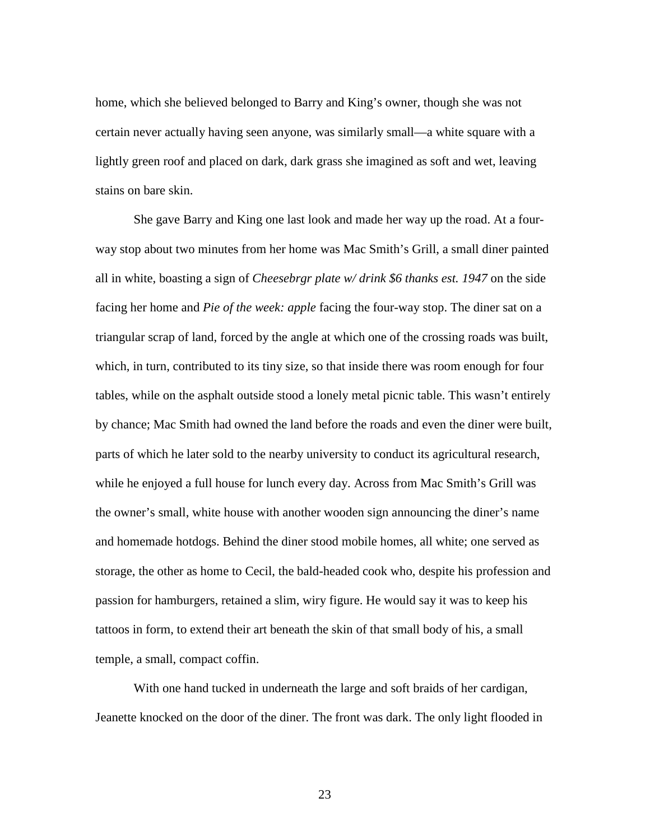home, which she believed belonged to Barry and King's owner, though she was not certain never actually having seen anyone, was similarly small—a white square with a lightly green roof and placed on dark, dark grass she imagined as soft and wet, leaving stains on bare skin.

She gave Barry and King one last look and made her way up the road. At a fourway stop about two minutes from her home was Mac Smith's Grill, a small diner painted all in white, boasting a sign of *Cheesebrgr plate w/ drink \$6 thanks est. 1947* on the side facing her home and *Pie of the week: apple* facing the four-way stop. The diner sat on a triangular scrap of land, forced by the angle at which one of the crossing roads was built, which, in turn, contributed to its tiny size, so that inside there was room enough for four tables, while on the asphalt outside stood a lonely metal picnic table. This wasn't entirely by chance; Mac Smith had owned the land before the roads and even the diner were built, parts of which he later sold to the nearby university to conduct its agricultural research, while he enjoyed a full house for lunch every day. Across from Mac Smith's Grill was the owner's small, white house with another wooden sign announcing the diner's name and homemade hotdogs. Behind the diner stood mobile homes, all white; one served as storage, the other as home to Cecil, the bald-headed cook who, despite his profession and passion for hamburgers, retained a slim, wiry figure. He would say it was to keep his tattoos in form, to extend their art beneath the skin of that small body of his, a small temple, a small, compact coffin.

With one hand tucked in underneath the large and soft braids of her cardigan, Jeanette knocked on the door of the diner. The front was dark. The only light flooded in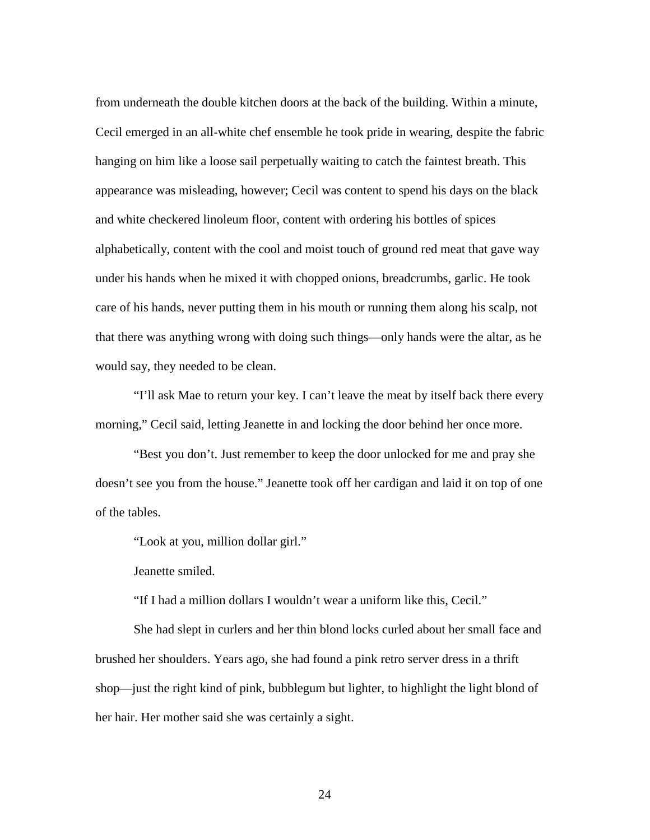from underneath the double kitchen doors at the back of the building. Within a minute, Cecil emerged in an all-white chef ensemble he took pride in wearing, despite the fabric hanging on him like a loose sail perpetually waiting to catch the faintest breath. This appearance was misleading, however; Cecil was content to spend his days on the black and white checkered linoleum floor, content with ordering his bottles of spices alphabetically, content with the cool and moist touch of ground red meat that gave way under his hands when he mixed it with chopped onions, breadcrumbs, garlic. He took care of his hands, never putting them in his mouth or running them along his scalp, not that there was anything wrong with doing such things—only hands were the altar, as he would say, they needed to be clean.

"I'll ask Mae to return your key. I can't leave the meat by itself back there every morning," Cecil said, letting Jeanette in and locking the door behind her once more.

"Best you don't. Just remember to keep the door unlocked for me and pray she doesn't see you from the house." Jeanette took off her cardigan and laid it on top of one of the tables.

"Look at you, million dollar girl."

Jeanette smiled.

"If I had a million dollars I wouldn't wear a uniform like this, Cecil."

She had slept in curlers and her thin blond locks curled about her small face and brushed her shoulders. Years ago, she had found a pink retro server dress in a thrift shop—just the right kind of pink, bubblegum but lighter, to highlight the light blond of her hair. Her mother said she was certainly a sight.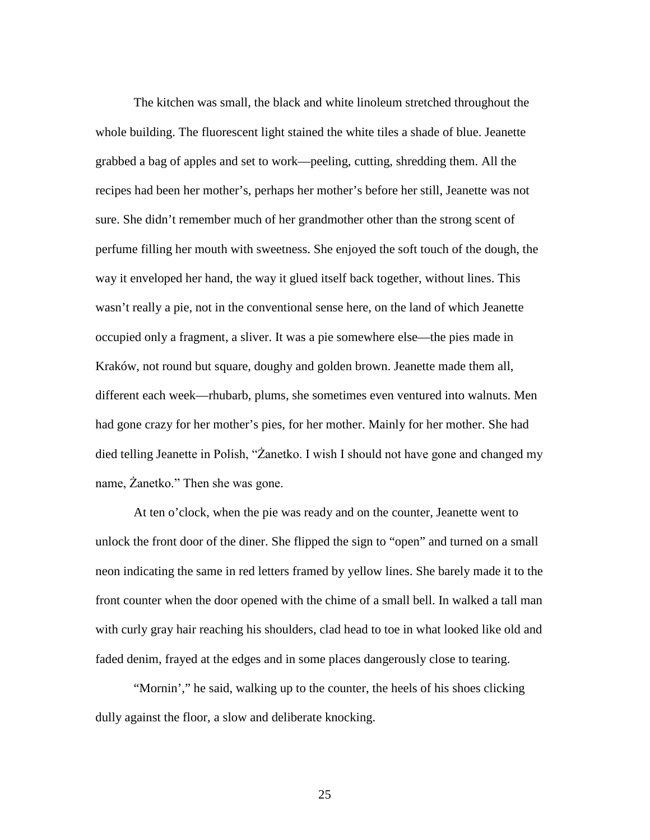The kitchen was small, the black and white linoleum stretched throughout the whole building. The fluorescent light stained the white tiles a shade of blue. Jeanette grabbed a bag of apples and set to work—peeling, cutting, shredding them. All the recipes had been her mother's, perhaps her mother's before her still, Jeanette was not sure. She didn't remember much of her grandmother other than the strong scent of perfume filling her mouth with sweetness. She enjoyed the soft touch of the dough, the way it enveloped her hand, the way it glued itself back together, without lines. This wasn't really a pie, not in the conventional sense here, on the land of which Jeanette occupied only a fragment, a sliver. It was a pie somewhere else—the pies made in Kraków, not round but square, doughy and golden brown. Jeanette made them all, different each week—rhubarb, plums, she sometimes even ventured into walnuts. Men had gone crazy for her mother's pies, for her mother. Mainly for her mother. She had died telling Jeanette in Polish, "Żanetko. I wish I should not have gone and changed my name, Żanetko." Then she was gone.

At ten o'clock, when the pie was ready and on the counter, Jeanette went to unlock the front door of the diner. She flipped the sign to "open" and turned on a small neon indicating the same in red letters framed by yellow lines. She barely made it to the front counter when the door opened with the chime of a small bell. In walked a tall man with curly gray hair reaching his shoulders, clad head to toe in what looked like old and faded denim, frayed at the edges and in some places dangerously close to tearing.

"Mornin'," he said, walking up to the counter, the heels of his shoes clicking dully against the floor, a slow and deliberate knocking.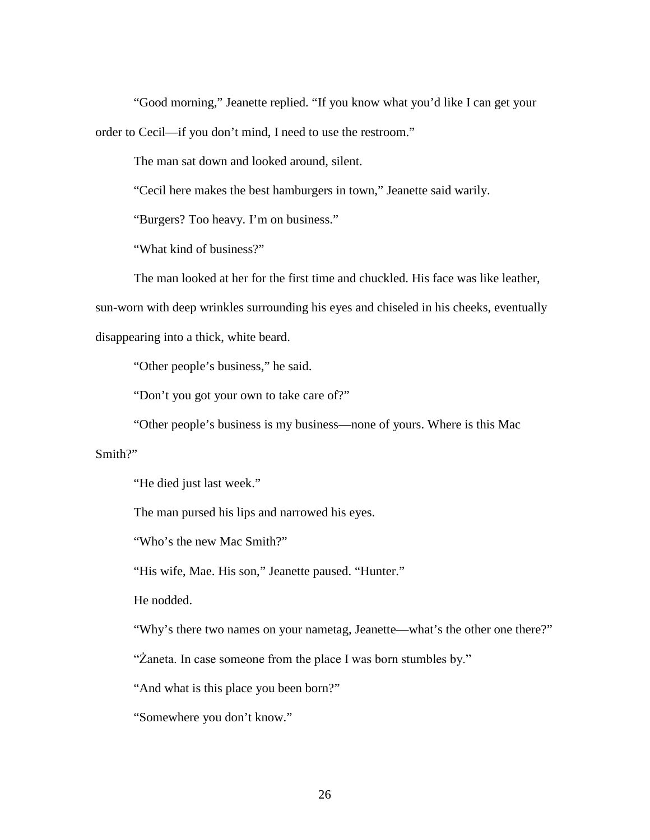"Good morning," Jeanette replied. "If you know what you'd like I can get your order to Cecil—if you don't mind, I need to use the restroom."

The man sat down and looked around, silent.

"Cecil here makes the best hamburgers in town," Jeanette said warily.

"Burgers? Too heavy. I'm on business."

"What kind of business?"

The man looked at her for the first time and chuckled. His face was like leather,

sun-worn with deep wrinkles surrounding his eyes and chiseled in his cheeks, eventually

disappearing into a thick, white beard.

"Other people's business," he said.

"Don't you got your own to take care of?"

"Other people's business is my business—none of yours. Where is this Mac

Smith?"

"He died just last week."

The man pursed his lips and narrowed his eyes.

"Who's the new Mac Smith?"

"His wife, Mae. His son," Jeanette paused. "Hunter."

He nodded.

"Why's there two names on your nametag, Jeanette—what's the other one there?"

"Żaneta. In case someone from the place I was born stumbles by."

"And what is this place you been born?"

"Somewhere you don't know."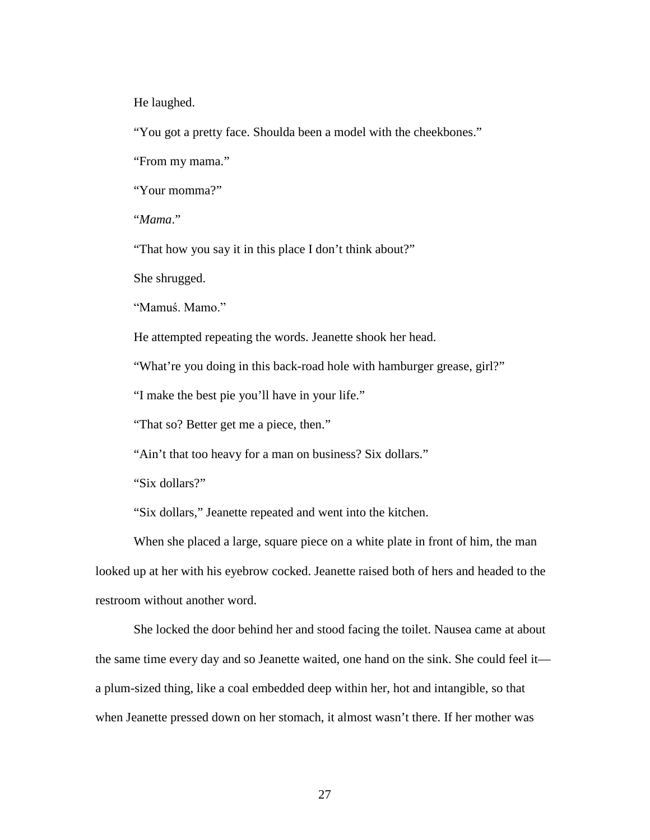He laughed.

"You got a pretty face. Shoulda been a model with the cheekbones."

"From my mama."

"Your momma?"

"*Mama*."

"That how you say it in this place I don't think about?"

She shrugged.

"Mamuś. Mamo."

He attempted repeating the words. Jeanette shook her head.

"What're you doing in this back-road hole with hamburger grease, girl?"

"I make the best pie you'll have in your life."

"That so? Better get me a piece, then."

"Ain't that too heavy for a man on business? Six dollars."

"Six dollars?"

"Six dollars," Jeanette repeated and went into the kitchen.

When she placed a large, square piece on a white plate in front of him, the man looked up at her with his eyebrow cocked. Jeanette raised both of hers and headed to the restroom without another word.

She locked the door behind her and stood facing the toilet. Nausea came at about the same time every day and so Jeanette waited, one hand on the sink. She could feel it a plum-sized thing, like a coal embedded deep within her, hot and intangible, so that when Jeanette pressed down on her stomach, it almost wasn't there. If her mother was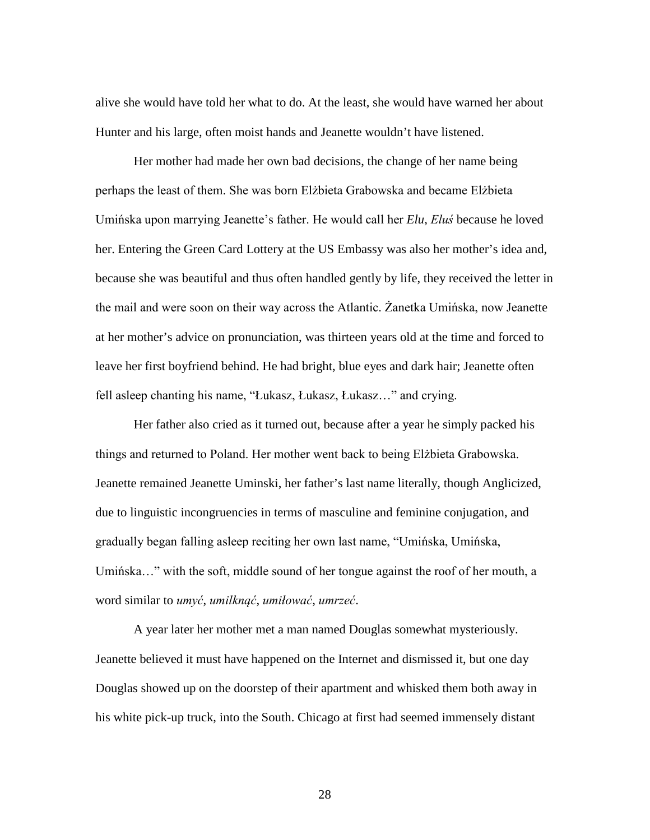alive she would have told her what to do. At the least, she would have warned her about Hunter and his large, often moist hands and Jeanette wouldn't have listened.

Her mother had made her own bad decisions, the change of her name being perhaps the least of them. She was born Elżbieta Grabowska and became Elżbieta Umińska upon marrying Jeanette's father. He would call her *Elu*, *Eluś* because he loved her. Entering the Green Card Lottery at the US Embassy was also her mother's idea and, because she was beautiful and thus often handled gently by life, they received the letter in the mail and were soon on their way across the Atlantic. Żanetka Umińska, now Jeanette at her mother's advice on pronunciation, was thirteen years old at the time and forced to leave her first boyfriend behind. He had bright, blue eyes and dark hair; Jeanette often fell asleep chanting his name, "Łukasz, Łukasz, Łukasz…" and crying.

Her father also cried as it turned out, because after a year he simply packed his things and returned to Poland. Her mother went back to being Elżbieta Grabowska. Jeanette remained Jeanette Uminski, her father's last name literally, though Anglicized, due to linguistic incongruencies in terms of masculine and feminine conjugation, and gradually began falling asleep reciting her own last name, "Umińska, Umińska, Umińska…" with the soft, middle sound of her tongue against the roof of her mouth, a word similar to *umyć*, *umilknąć*, *umiłować*, *umrzeć*.

A year later her mother met a man named Douglas somewhat mysteriously. Jeanette believed it must have happened on the Internet and dismissed it, but one day Douglas showed up on the doorstep of their apartment and whisked them both away in his white pick-up truck, into the South. Chicago at first had seemed immensely distant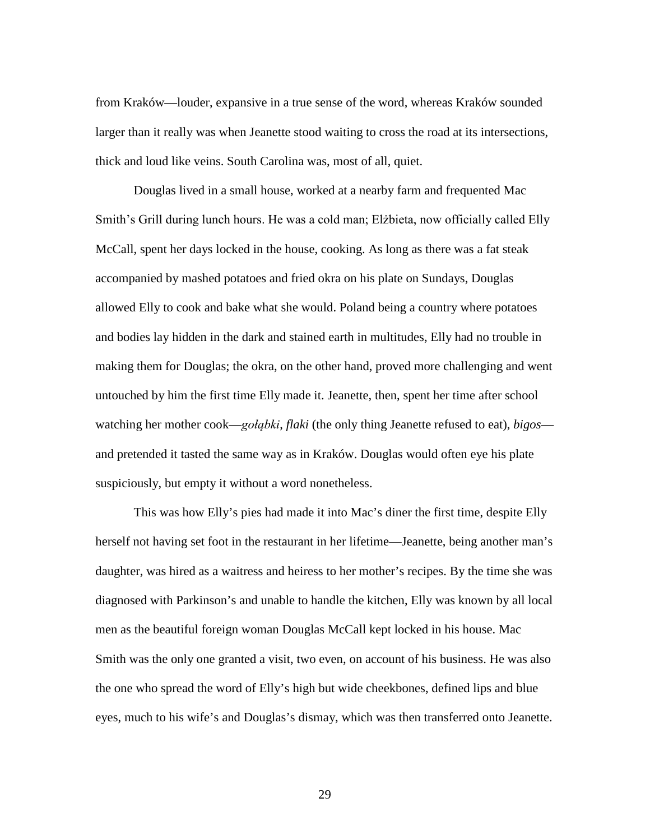from Kraków—louder, expansive in a true sense of the word, whereas Kraków sounded larger than it really was when Jeanette stood waiting to cross the road at its intersections, thick and loud like veins. South Carolina was, most of all, quiet.

Douglas lived in a small house, worked at a nearby farm and frequented Mac Smith's Grill during lunch hours. He was a cold man; Elżbieta, now officially called Elly McCall, spent her days locked in the house, cooking. As long as there was a fat steak accompanied by mashed potatoes and fried okra on his plate on Sundays, Douglas allowed Elly to cook and bake what she would. Poland being a country where potatoes and bodies lay hidden in the dark and stained earth in multitudes, Elly had no trouble in making them for Douglas; the okra, on the other hand, proved more challenging and went untouched by him the first time Elly made it. Jeanette, then, spent her time after school watching her mother cook—*gołąbki*, *flaki* (the only thing Jeanette refused to eat), *bigos* and pretended it tasted the same way as in Kraków. Douglas would often eye his plate suspiciously, but empty it without a word nonetheless.

This was how Elly's pies had made it into Mac's diner the first time, despite Elly herself not having set foot in the restaurant in her lifetime—Jeanette, being another man's daughter, was hired as a waitress and heiress to her mother's recipes. By the time she was diagnosed with Parkinson's and unable to handle the kitchen, Elly was known by all local men as the beautiful foreign woman Douglas McCall kept locked in his house. Mac Smith was the only one granted a visit, two even, on account of his business. He was also the one who spread the word of Elly's high but wide cheekbones, defined lips and blue eyes, much to his wife's and Douglas's dismay, which was then transferred onto Jeanette.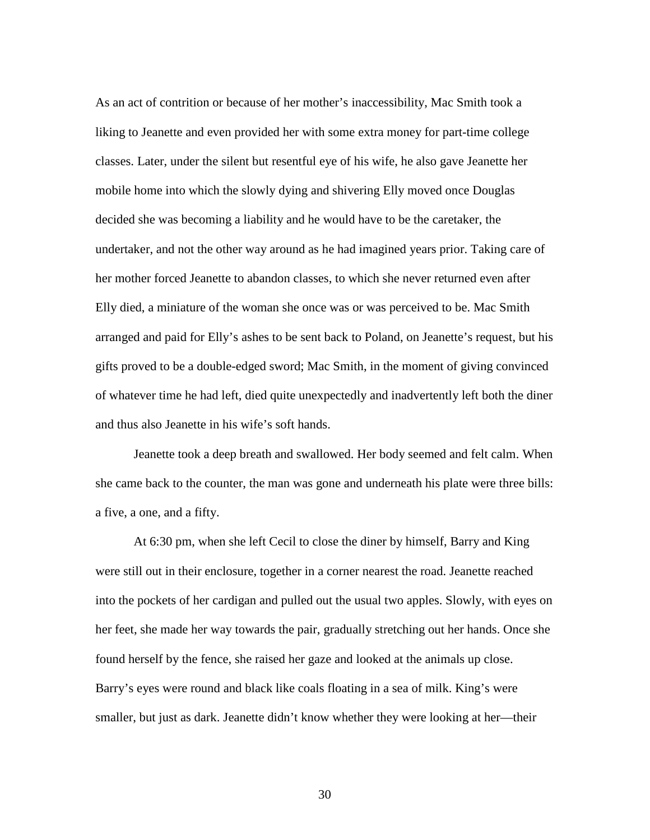As an act of contrition or because of her mother's inaccessibility, Mac Smith took a liking to Jeanette and even provided her with some extra money for part-time college classes. Later, under the silent but resentful eye of his wife, he also gave Jeanette her mobile home into which the slowly dying and shivering Elly moved once Douglas decided she was becoming a liability and he would have to be the caretaker, the undertaker, and not the other way around as he had imagined years prior. Taking care of her mother forced Jeanette to abandon classes, to which she never returned even after Elly died, a miniature of the woman she once was or was perceived to be. Mac Smith arranged and paid for Elly's ashes to be sent back to Poland, on Jeanette's request, but his gifts proved to be a double-edged sword; Mac Smith, in the moment of giving convinced of whatever time he had left, died quite unexpectedly and inadvertently left both the diner and thus also Jeanette in his wife's soft hands.

Jeanette took a deep breath and swallowed. Her body seemed and felt calm. When she came back to the counter, the man was gone and underneath his plate were three bills: a five, a one, and a fifty.

At 6:30 pm, when she left Cecil to close the diner by himself, Barry and King were still out in their enclosure, together in a corner nearest the road. Jeanette reached into the pockets of her cardigan and pulled out the usual two apples. Slowly, with eyes on her feet, she made her way towards the pair, gradually stretching out her hands. Once she found herself by the fence, she raised her gaze and looked at the animals up close. Barry's eyes were round and black like coals floating in a sea of milk. King's were smaller, but just as dark. Jeanette didn't know whether they were looking at her—their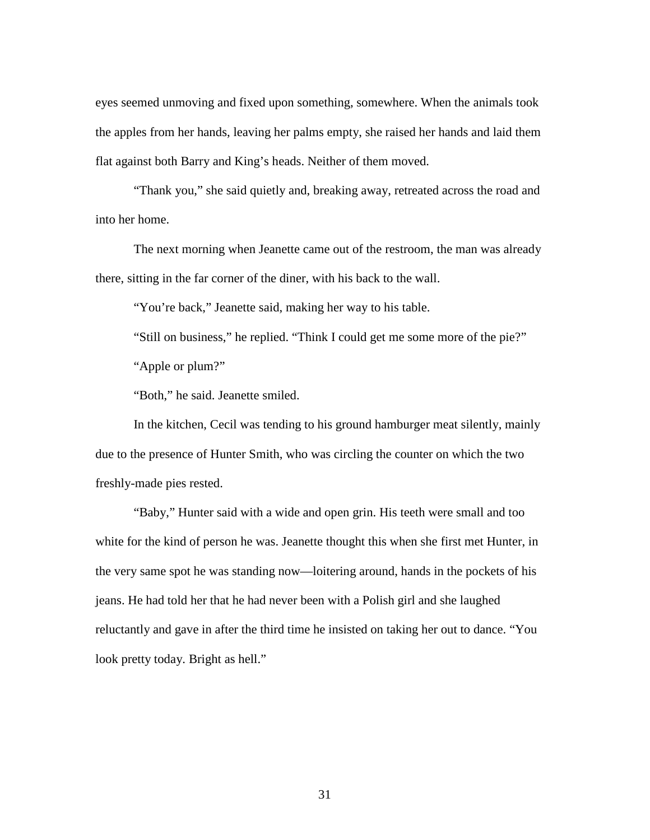eyes seemed unmoving and fixed upon something, somewhere. When the animals took the apples from her hands, leaving her palms empty, she raised her hands and laid them flat against both Barry and King's heads. Neither of them moved.

"Thank you," she said quietly and, breaking away, retreated across the road and into her home.

The next morning when Jeanette came out of the restroom, the man was already there, sitting in the far corner of the diner, with his back to the wall.

"You're back," Jeanette said, making her way to his table.

"Still on business," he replied. "Think I could get me some more of the pie?"

"Apple or plum?"

"Both," he said. Jeanette smiled.

In the kitchen, Cecil was tending to his ground hamburger meat silently, mainly due to the presence of Hunter Smith, who was circling the counter on which the two freshly-made pies rested.

"Baby," Hunter said with a wide and open grin. His teeth were small and too white for the kind of person he was. Jeanette thought this when she first met Hunter, in the very same spot he was standing now—loitering around, hands in the pockets of his jeans. He had told her that he had never been with a Polish girl and she laughed reluctantly and gave in after the third time he insisted on taking her out to dance. "You look pretty today. Bright as hell."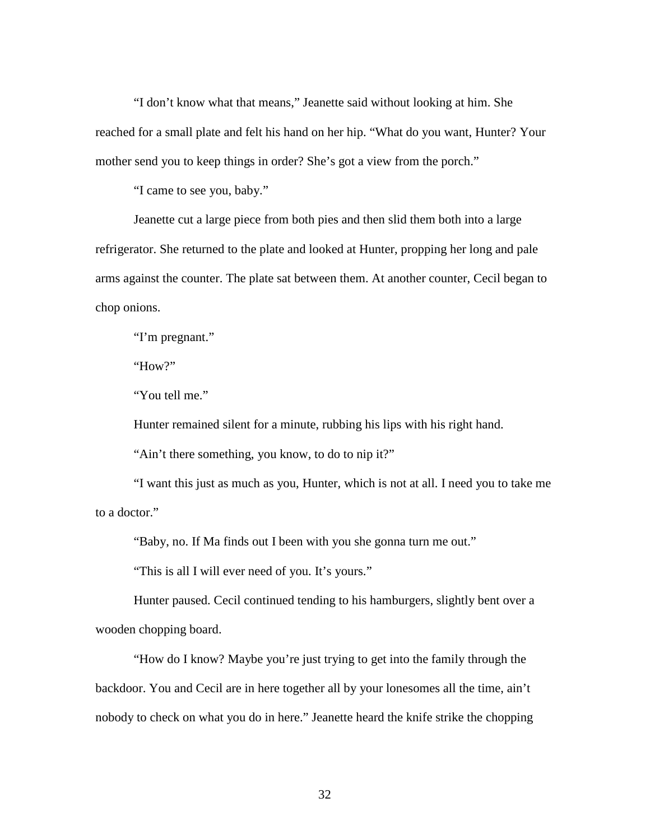"I don't know what that means," Jeanette said without looking at him. She reached for a small plate and felt his hand on her hip. "What do you want, Hunter? Your mother send you to keep things in order? She's got a view from the porch."

"I came to see you, baby."

Jeanette cut a large piece from both pies and then slid them both into a large refrigerator. She returned to the plate and looked at Hunter, propping her long and pale arms against the counter. The plate sat between them. At another counter, Cecil began to chop onions.

"I'm pregnant."

"How?"

"You tell me."

Hunter remained silent for a minute, rubbing his lips with his right hand.

"Ain't there something, you know, to do to nip it?"

"I want this just as much as you, Hunter, which is not at all. I need you to take me to a doctor."

"Baby, no. If Ma finds out I been with you she gonna turn me out."

"This is all I will ever need of you. It's yours."

Hunter paused. Cecil continued tending to his hamburgers, slightly bent over a wooden chopping board.

"How do I know? Maybe you're just trying to get into the family through the backdoor. You and Cecil are in here together all by your lonesomes all the time, ain't nobody to check on what you do in here." Jeanette heard the knife strike the chopping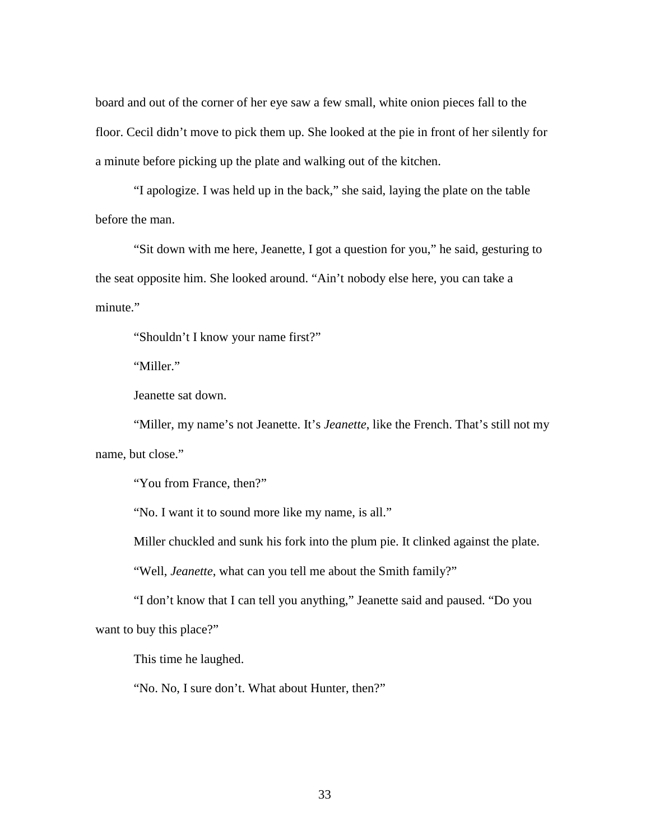board and out of the corner of her eye saw a few small, white onion pieces fall to the floor. Cecil didn't move to pick them up. She looked at the pie in front of her silently for a minute before picking up the plate and walking out of the kitchen.

"I apologize. I was held up in the back," she said, laying the plate on the table before the man.

"Sit down with me here, Jeanette, I got a question for you," he said, gesturing to the seat opposite him. She looked around. "Ain't nobody else here, you can take a minute."

"Shouldn't I know your name first?"

"Miller."

Jeanette sat down.

"Miller, my name's not Jeanette. It's *Jeanette*, like the French. That's still not my name, but close."

"You from France, then?"

"No. I want it to sound more like my name, is all."

Miller chuckled and sunk his fork into the plum pie. It clinked against the plate.

"Well, *Jeanette*, what can you tell me about the Smith family?"

"I don't know that I can tell you anything," Jeanette said and paused. "Do you want to buy this place?"

This time he laughed.

"No. No, I sure don't. What about Hunter, then?"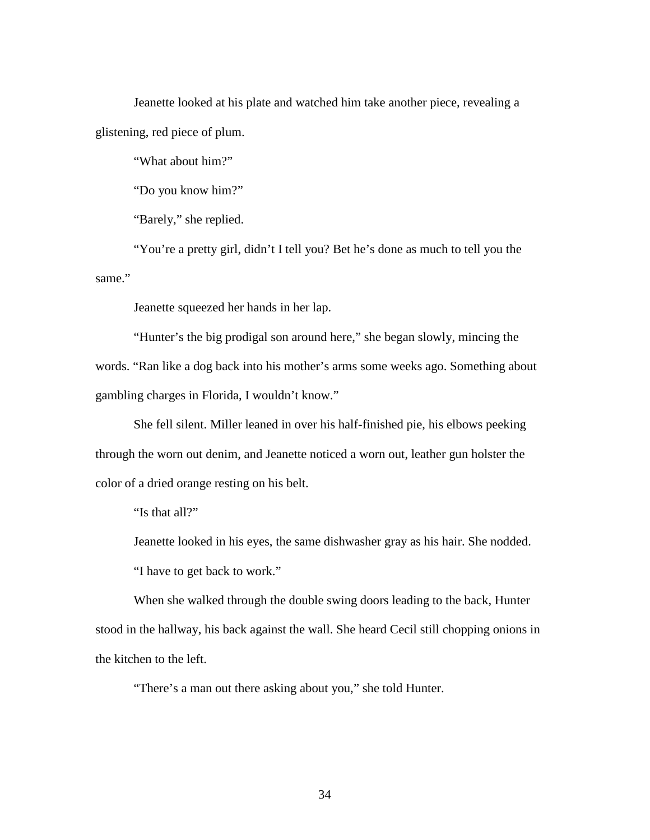Jeanette looked at his plate and watched him take another piece, revealing a glistening, red piece of plum.

"What about him?"

"Do you know him?"

"Barely," she replied.

"You're a pretty girl, didn't I tell you? Bet he's done as much to tell you the same."

Jeanette squeezed her hands in her lap.

"Hunter's the big prodigal son around here," she began slowly, mincing the words. "Ran like a dog back into his mother's arms some weeks ago. Something about gambling charges in Florida, I wouldn't know."

She fell silent. Miller leaned in over his half-finished pie, his elbows peeking through the worn out denim, and Jeanette noticed a worn out, leather gun holster the color of a dried orange resting on his belt.

"Is that all?"

Jeanette looked in his eyes, the same dishwasher gray as his hair. She nodded.

"I have to get back to work."

When she walked through the double swing doors leading to the back, Hunter stood in the hallway, his back against the wall. She heard Cecil still chopping onions in the kitchen to the left.

"There's a man out there asking about you," she told Hunter.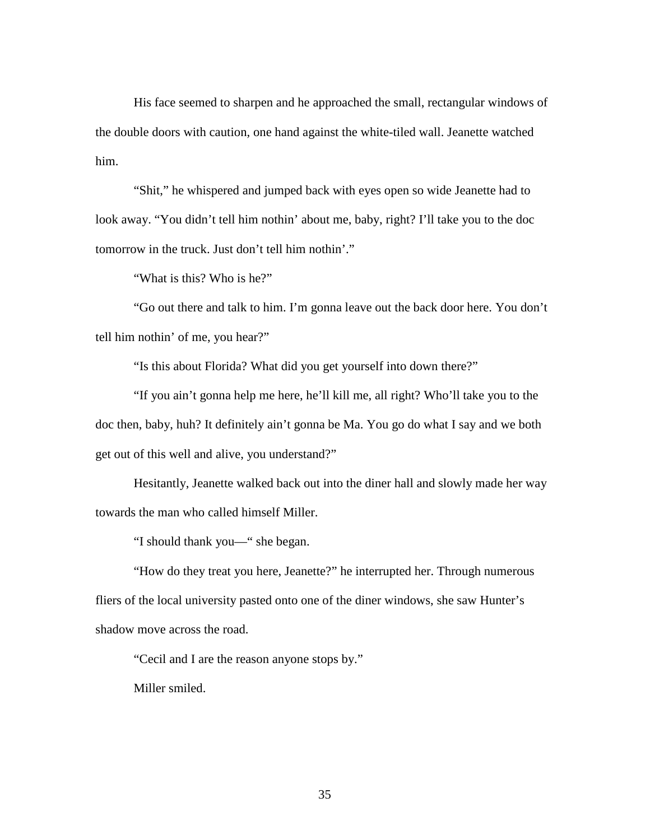His face seemed to sharpen and he approached the small, rectangular windows of the double doors with caution, one hand against the white-tiled wall. Jeanette watched him.

"Shit," he whispered and jumped back with eyes open so wide Jeanette had to look away. "You didn't tell him nothin' about me, baby, right? I'll take you to the doc tomorrow in the truck. Just don't tell him nothin'."

"What is this? Who is he?"

"Go out there and talk to him. I'm gonna leave out the back door here. You don't tell him nothin' of me, you hear?"

"Is this about Florida? What did you get yourself into down there?"

"If you ain't gonna help me here, he'll kill me, all right? Who'll take you to the doc then, baby, huh? It definitely ain't gonna be Ma. You go do what I say and we both get out of this well and alive, you understand?"

Hesitantly, Jeanette walked back out into the diner hall and slowly made her way towards the man who called himself Miller.

"I should thank you—" she began.

"How do they treat you here, Jeanette?" he interrupted her. Through numerous fliers of the local university pasted onto one of the diner windows, she saw Hunter's shadow move across the road.

"Cecil and I are the reason anyone stops by."

Miller smiled.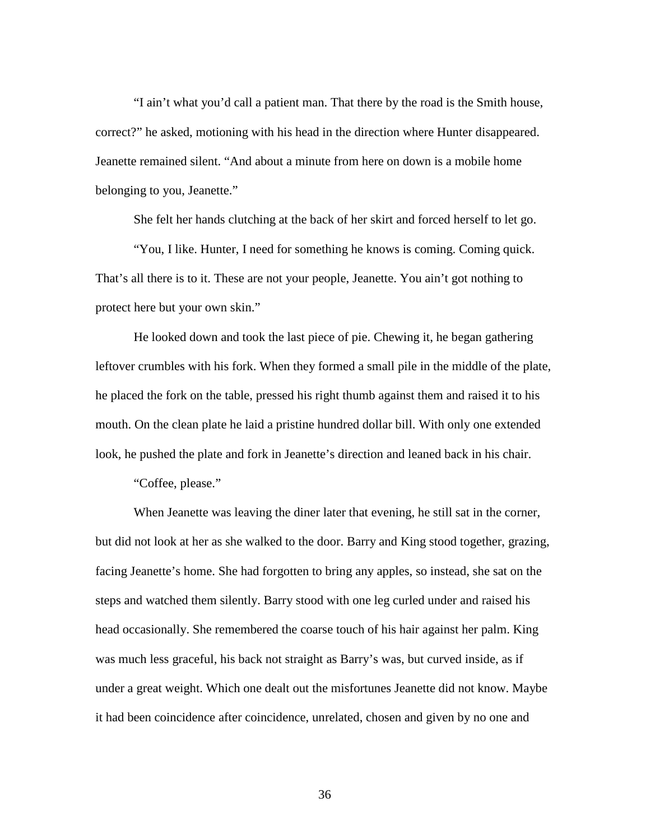"I ain't what you'd call a patient man. That there by the road is the Smith house, correct?" he asked, motioning with his head in the direction where Hunter disappeared. Jeanette remained silent. "And about a minute from here on down is a mobile home belonging to you, Jeanette."

She felt her hands clutching at the back of her skirt and forced herself to let go.

"You, I like. Hunter, I need for something he knows is coming. Coming quick. That's all there is to it. These are not your people, Jeanette. You ain't got nothing to protect here but your own skin."

He looked down and took the last piece of pie. Chewing it, he began gathering leftover crumbles with his fork. When they formed a small pile in the middle of the plate, he placed the fork on the table, pressed his right thumb against them and raised it to his mouth. On the clean plate he laid a pristine hundred dollar bill. With only one extended look, he pushed the plate and fork in Jeanette's direction and leaned back in his chair.

"Coffee, please."

When Jeanette was leaving the diner later that evening, he still sat in the corner, but did not look at her as she walked to the door. Barry and King stood together, grazing, facing Jeanette's home. She had forgotten to bring any apples, so instead, she sat on the steps and watched them silently. Barry stood with one leg curled under and raised his head occasionally. She remembered the coarse touch of his hair against her palm. King was much less graceful, his back not straight as Barry's was, but curved inside, as if under a great weight. Which one dealt out the misfortunes Jeanette did not know. Maybe it had been coincidence after coincidence, unrelated, chosen and given by no one and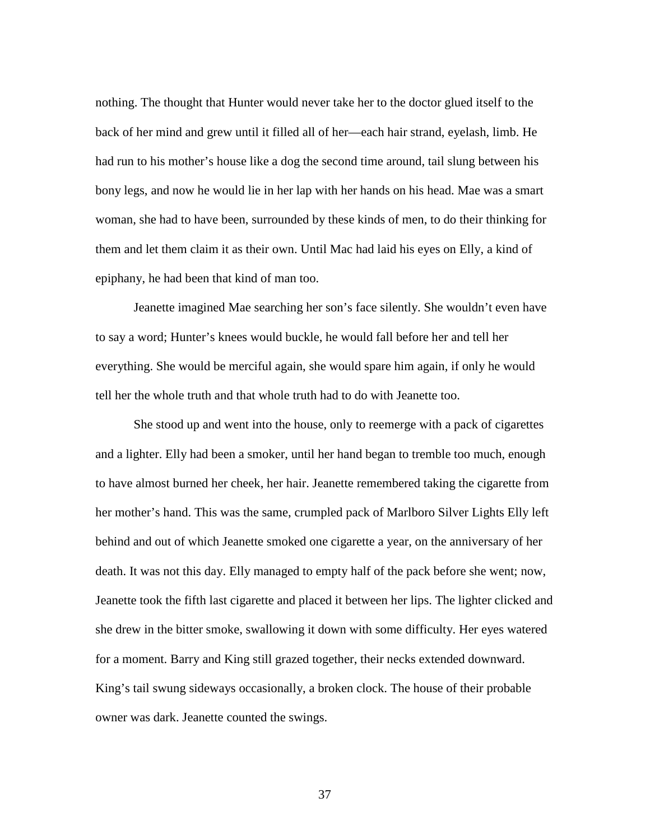nothing. The thought that Hunter would never take her to the doctor glued itself to the back of her mind and grew until it filled all of her—each hair strand, eyelash, limb. He had run to his mother's house like a dog the second time around, tail slung between his bony legs, and now he would lie in her lap with her hands on his head. Mae was a smart woman, she had to have been, surrounded by these kinds of men, to do their thinking for them and let them claim it as their own. Until Mac had laid his eyes on Elly, a kind of epiphany, he had been that kind of man too.

Jeanette imagined Mae searching her son's face silently. She wouldn't even have to say a word; Hunter's knees would buckle, he would fall before her and tell her everything. She would be merciful again, she would spare him again, if only he would tell her the whole truth and that whole truth had to do with Jeanette too.

She stood up and went into the house, only to reemerge with a pack of cigarettes and a lighter. Elly had been a smoker, until her hand began to tremble too much, enough to have almost burned her cheek, her hair. Jeanette remembered taking the cigarette from her mother's hand. This was the same, crumpled pack of Marlboro Silver Lights Elly left behind and out of which Jeanette smoked one cigarette a year, on the anniversary of her death. It was not this day. Elly managed to empty half of the pack before she went; now, Jeanette took the fifth last cigarette and placed it between her lips. The lighter clicked and she drew in the bitter smoke, swallowing it down with some difficulty. Her eyes watered for a moment. Barry and King still grazed together, their necks extended downward. King's tail swung sideways occasionally, a broken clock. The house of their probable owner was dark. Jeanette counted the swings.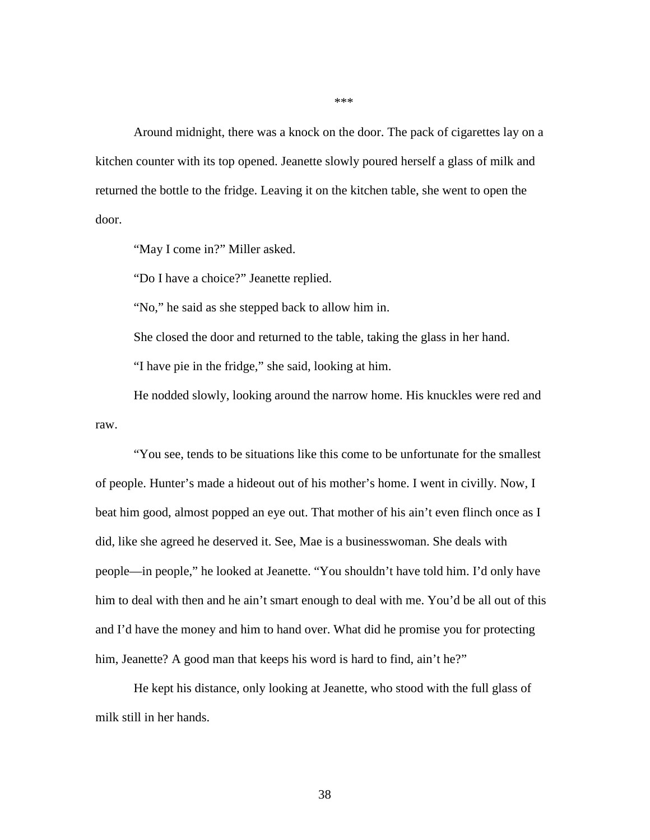Around midnight, there was a knock on the door. The pack of cigarettes lay on a kitchen counter with its top opened. Jeanette slowly poured herself a glass of milk and returned the bottle to the fridge. Leaving it on the kitchen table, she went to open the door.

"May I come in?" Miller asked.

"Do I have a choice?" Jeanette replied.

"No," he said as she stepped back to allow him in.

She closed the door and returned to the table, taking the glass in her hand.

"I have pie in the fridge," she said, looking at him.

He nodded slowly, looking around the narrow home. His knuckles were red and raw.

"You see, tends to be situations like this come to be unfortunate for the smallest of people. Hunter's made a hideout out of his mother's home. I went in civilly. Now, I beat him good, almost popped an eye out. That mother of his ain't even flinch once as I did, like she agreed he deserved it. See, Mae is a businesswoman. She deals with people—in people," he looked at Jeanette. "You shouldn't have told him. I'd only have him to deal with then and he ain't smart enough to deal with me. You'd be all out of this and I'd have the money and him to hand over. What did he promise you for protecting him, Jeanette? A good man that keeps his word is hard to find, ain't he?"

He kept his distance, only looking at Jeanette, who stood with the full glass of milk still in her hands.

\*\*\*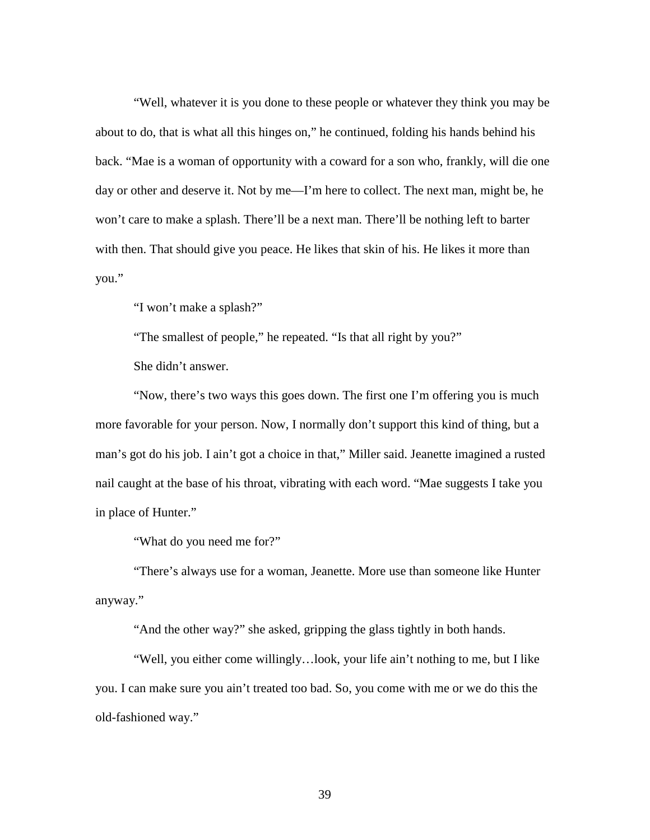"Well, whatever it is you done to these people or whatever they think you may be about to do, that is what all this hinges on," he continued, folding his hands behind his back. "Mae is a woman of opportunity with a coward for a son who, frankly, will die one day or other and deserve it. Not by me—I'm here to collect. The next man, might be, he won't care to make a splash. There'll be a next man. There'll be nothing left to barter with then. That should give you peace. He likes that skin of his. He likes it more than you."

"I won't make a splash?"

"The smallest of people," he repeated. "Is that all right by you?"

She didn't answer.

"Now, there's two ways this goes down. The first one I'm offering you is much more favorable for your person. Now, I normally don't support this kind of thing, but a man's got do his job. I ain't got a choice in that," Miller said. Jeanette imagined a rusted nail caught at the base of his throat, vibrating with each word. "Mae suggests I take you in place of Hunter."

"What do you need me for?"

"There's always use for a woman, Jeanette. More use than someone like Hunter anyway."

"And the other way?" she asked, gripping the glass tightly in both hands.

"Well, you either come willingly…look, your life ain't nothing to me, but I like you. I can make sure you ain't treated too bad. So, you come with me or we do this the old-fashioned way."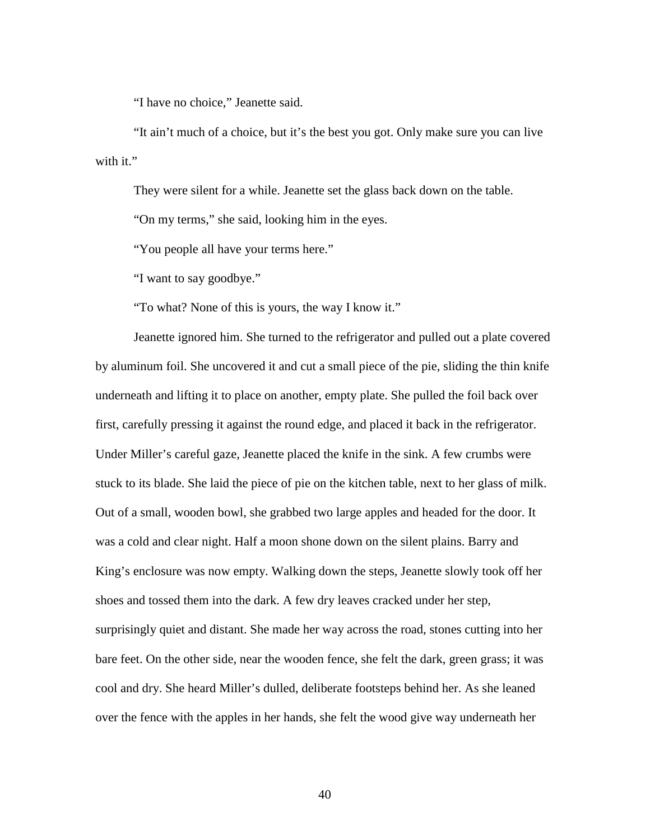"I have no choice," Jeanette said.

"It ain't much of a choice, but it's the best you got. Only make sure you can live with it."

They were silent for a while. Jeanette set the glass back down on the table.

"On my terms," she said, looking him in the eyes.

"You people all have your terms here."

"I want to say goodbye."

"To what? None of this is yours, the way I know it."

Jeanette ignored him. She turned to the refrigerator and pulled out a plate covered by aluminum foil. She uncovered it and cut a small piece of the pie, sliding the thin knife underneath and lifting it to place on another, empty plate. She pulled the foil back over first, carefully pressing it against the round edge, and placed it back in the refrigerator. Under Miller's careful gaze, Jeanette placed the knife in the sink. A few crumbs were stuck to its blade. She laid the piece of pie on the kitchen table, next to her glass of milk. Out of a small, wooden bowl, she grabbed two large apples and headed for the door. It was a cold and clear night. Half a moon shone down on the silent plains. Barry and King's enclosure was now empty. Walking down the steps, Jeanette slowly took off her shoes and tossed them into the dark. A few dry leaves cracked under her step, surprisingly quiet and distant. She made her way across the road, stones cutting into her bare feet. On the other side, near the wooden fence, she felt the dark, green grass; it was cool and dry. She heard Miller's dulled, deliberate footsteps behind her. As she leaned over the fence with the apples in her hands, she felt the wood give way underneath her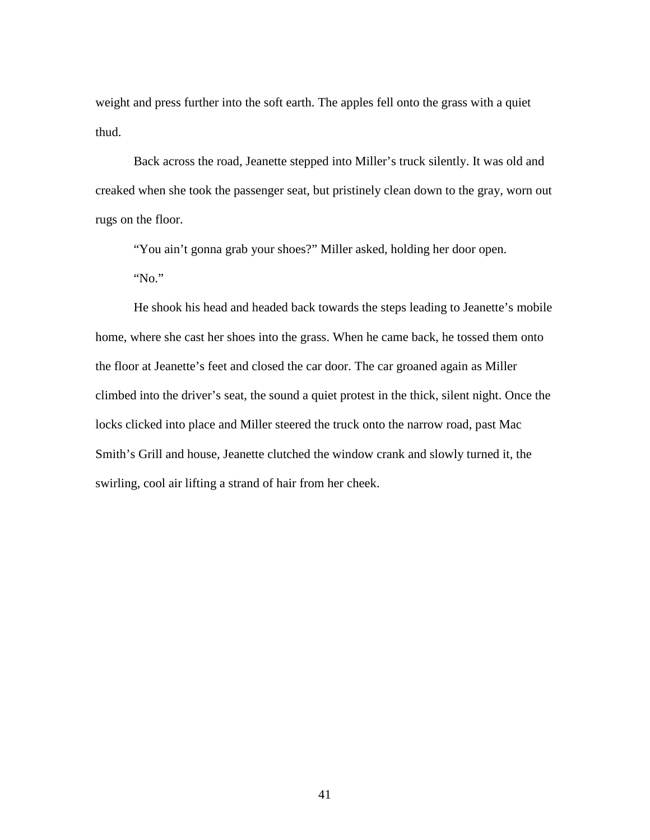weight and press further into the soft earth. The apples fell onto the grass with a quiet thud.

Back across the road, Jeanette stepped into Miller's truck silently. It was old and creaked when she took the passenger seat, but pristinely clean down to the gray, worn out rugs on the floor.

"You ain't gonna grab your shoes?" Miller asked, holding her door open. "No."

He shook his head and headed back towards the steps leading to Jeanette's mobile home, where she cast her shoes into the grass. When he came back, he tossed them onto the floor at Jeanette's feet and closed the car door. The car groaned again as Miller climbed into the driver's seat, the sound a quiet protest in the thick, silent night. Once the locks clicked into place and Miller steered the truck onto the narrow road, past Mac Smith's Grill and house, Jeanette clutched the window crank and slowly turned it, the swirling, cool air lifting a strand of hair from her cheek.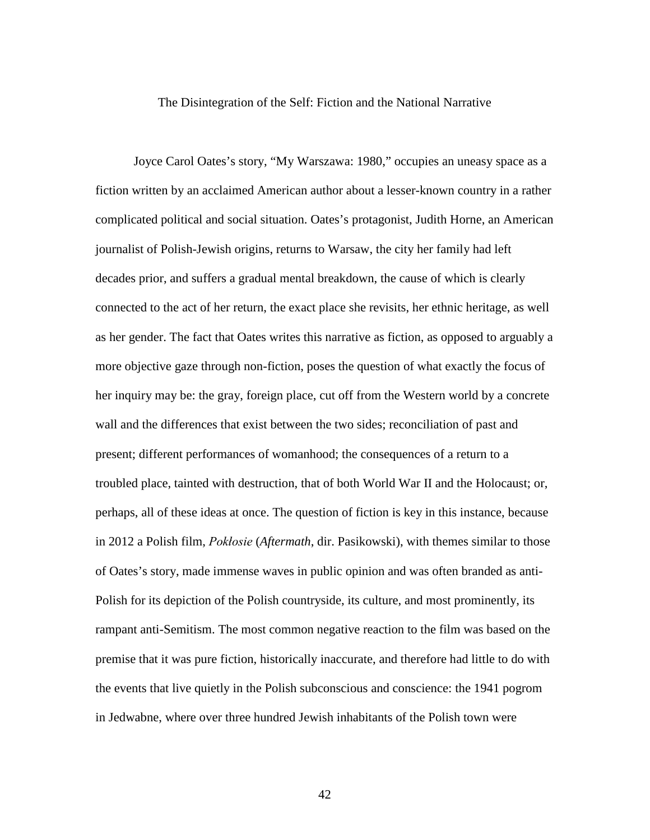The Disintegration of the Self: Fiction and the National Narrative

Joyce Carol Oates's story, "My Warszawa: 1980," occupies an uneasy space as a fiction written by an acclaimed American author about a lesser-known country in a rather complicated political and social situation. Oates's protagonist, Judith Horne, an American journalist of Polish-Jewish origins, returns to Warsaw, the city her family had left decades prior, and suffers a gradual mental breakdown, the cause of which is clearly connected to the act of her return, the exact place she revisits, her ethnic heritage, as well as her gender. The fact that Oates writes this narrative as fiction, as opposed to arguably a more objective gaze through non-fiction, poses the question of what exactly the focus of her inquiry may be: the gray, foreign place, cut off from the Western world by a concrete wall and the differences that exist between the two sides; reconciliation of past and present; different performances of womanhood; the consequences of a return to a troubled place, tainted with destruction, that of both World War II and the Holocaust; or, perhaps, all of these ideas at once. The question of fiction is key in this instance, because in 2012 a Polish film, *Pokłosie* (*Aftermath*, dir. Pasikowski), with themes similar to those of Oates's story, made immense waves in public opinion and was often branded as anti-Polish for its depiction of the Polish countryside, its culture, and most prominently, its rampant anti-Semitism. The most common negative reaction to the film was based on the premise that it was pure fiction, historically inaccurate, and therefore had little to do with the events that live quietly in the Polish subconscious and conscience: the 1941 pogrom in Jedwabne, where over three hundred Jewish inhabitants of the Polish town were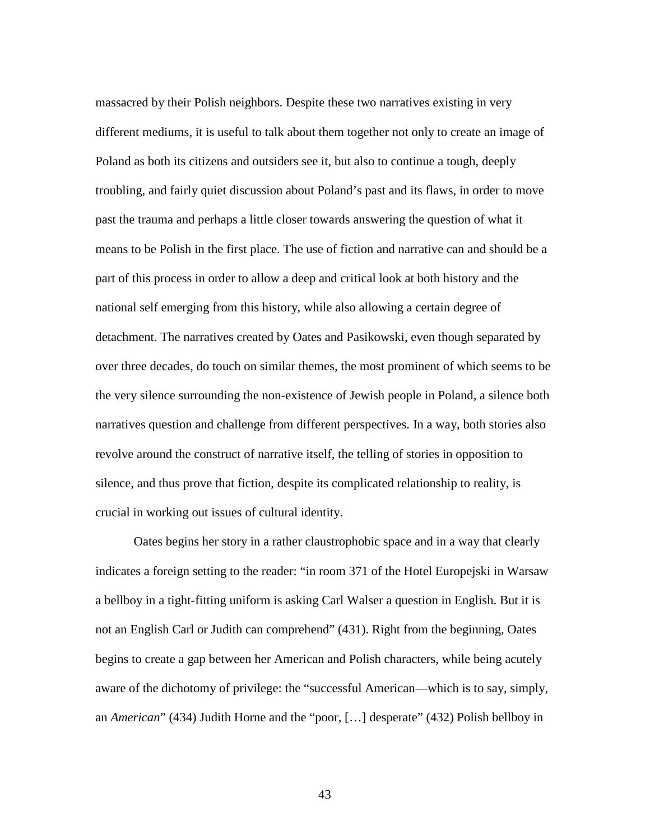massacred by their Polish neighbors. Despite these two narratives existing in very different mediums, it is useful to talk about them together not only to create an image of Poland as both its citizens and outsiders see it, but also to continue a tough, deeply troubling, and fairly quiet discussion about Poland's past and its flaws, in order to move past the trauma and perhaps a little closer towards answering the question of what it means to be Polish in the first place. The use of fiction and narrative can and should be a part of this process in order to allow a deep and critical look at both history and the national self emerging from this history, while also allowing a certain degree of detachment. The narratives created by Oates and Pasikowski, even though separated by over three decades, do touch on similar themes, the most prominent of which seems to be the very silence surrounding the non-existence of Jewish people in Poland, a silence both narratives question and challenge from different perspectives. In a way, both stories also revolve around the construct of narrative itself, the telling of stories in opposition to silence, and thus prove that fiction, despite its complicated relationship to reality, is crucial in working out issues of cultural identity.

Oates begins her story in a rather claustrophobic space and in a way that clearly indicates a foreign setting to the reader: "in room 371 of the Hotel Europejski in Warsaw a bellboy in a tight-fitting uniform is asking Carl Walser a question in English. But it is not an English Carl or Judith can comprehend" (431). Right from the beginning, Oates begins to create a gap between her American and Polish characters, while being acutely aware of the dichotomy of privilege: the "successful American—which is to say, simply, an *American*" (434) Judith Horne and the "poor, […] desperate" (432) Polish bellboy in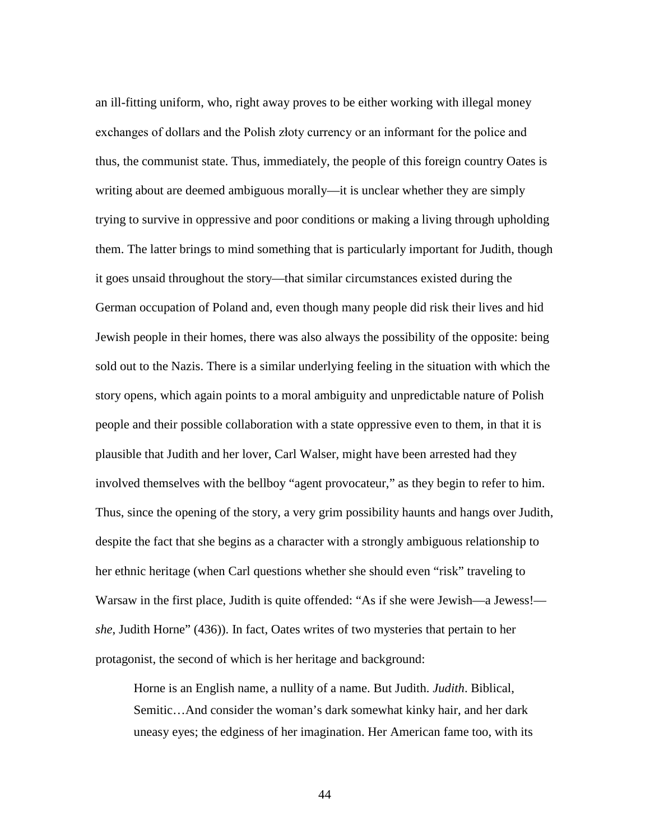an ill-fitting uniform, who, right away proves to be either working with illegal money exchanges of dollars and the Polish złoty currency or an informant for the police and thus, the communist state. Thus, immediately, the people of this foreign country Oates is writing about are deemed ambiguous morally—it is unclear whether they are simply trying to survive in oppressive and poor conditions or making a living through upholding them. The latter brings to mind something that is particularly important for Judith, though it goes unsaid throughout the story—that similar circumstances existed during the German occupation of Poland and, even though many people did risk their lives and hid Jewish people in their homes, there was also always the possibility of the opposite: being sold out to the Nazis. There is a similar underlying feeling in the situation with which the story opens, which again points to a moral ambiguity and unpredictable nature of Polish people and their possible collaboration with a state oppressive even to them, in that it is plausible that Judith and her lover, Carl Walser, might have been arrested had they involved themselves with the bellboy "agent provocateur," as they begin to refer to him. Thus, since the opening of the story, a very grim possibility haunts and hangs over Judith, despite the fact that she begins as a character with a strongly ambiguous relationship to her ethnic heritage (when Carl questions whether she should even "risk" traveling to Warsaw in the first place, Judith is quite offended: "As if she were Jewish—a Jewess! *she*, Judith Horne" (436)). In fact, Oates writes of two mysteries that pertain to her protagonist, the second of which is her heritage and background:

Horne is an English name, a nullity of a name. But Judith. *Judith*. Biblical, Semitic…And consider the woman's dark somewhat kinky hair, and her dark uneasy eyes; the edginess of her imagination. Her American fame too, with its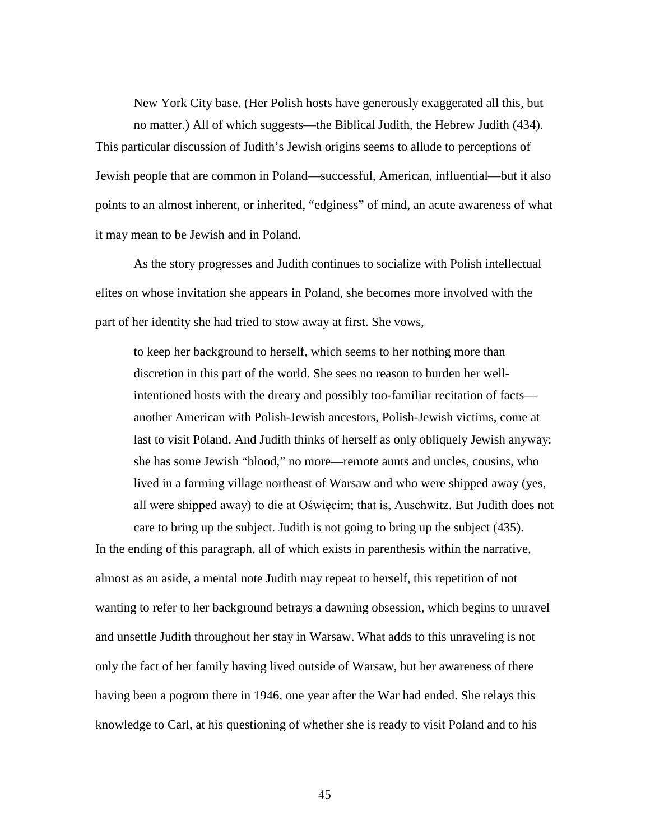New York City base. (Her Polish hosts have generously exaggerated all this, but no matter.) All of which suggests—the Biblical Judith, the Hebrew Judith (434). This particular discussion of Judith's Jewish origins seems to allude to perceptions of Jewish people that are common in Poland—successful, American, influential—but it also points to an almost inherent, or inherited, "edginess" of mind, an acute awareness of what it may mean to be Jewish and in Poland.

As the story progresses and Judith continues to socialize with Polish intellectual elites on whose invitation she appears in Poland, she becomes more involved with the part of her identity she had tried to stow away at first. She vows,

to keep her background to herself, which seems to her nothing more than discretion in this part of the world. She sees no reason to burden her wellintentioned hosts with the dreary and possibly too-familiar recitation of facts another American with Polish-Jewish ancestors, Polish-Jewish victims, come at last to visit Poland. And Judith thinks of herself as only obliquely Jewish anyway: she has some Jewish "blood," no more—remote aunts and uncles, cousins, who lived in a farming village northeast of Warsaw and who were shipped away (yes, all were shipped away) to die at Oświęcim; that is, Auschwitz. But Judith does not care to bring up the subject. Judith is not going to bring up the subject (435).

In the ending of this paragraph, all of which exists in parenthesis within the narrative, almost as an aside, a mental note Judith may repeat to herself, this repetition of not wanting to refer to her background betrays a dawning obsession, which begins to unravel and unsettle Judith throughout her stay in Warsaw. What adds to this unraveling is not only the fact of her family having lived outside of Warsaw, but her awareness of there having been a pogrom there in 1946, one year after the War had ended. She relays this knowledge to Carl, at his questioning of whether she is ready to visit Poland and to his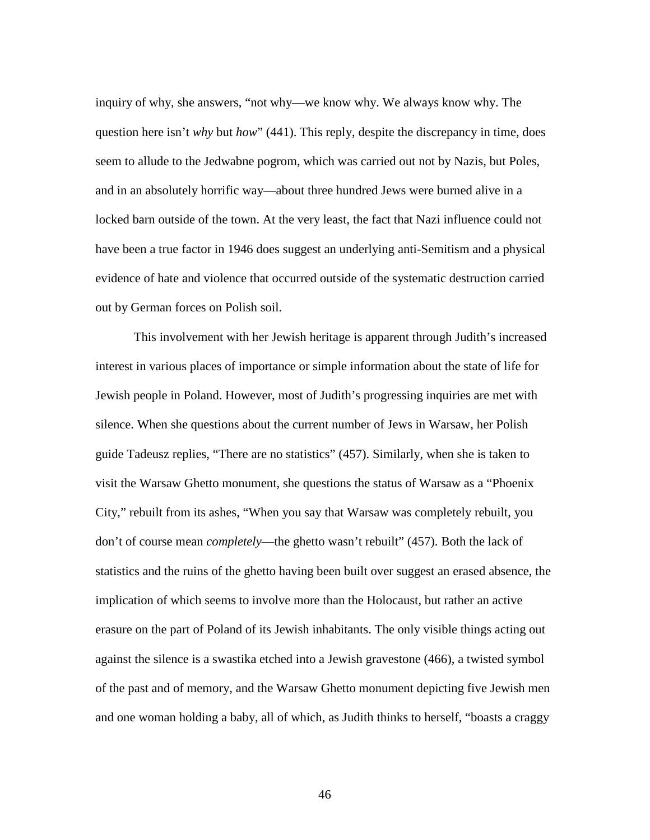inquiry of why, she answers, "not why—we know why. We always know why. The question here isn't *why* but *how*" (441). This reply, despite the discrepancy in time, does seem to allude to the Jedwabne pogrom, which was carried out not by Nazis, but Poles, and in an absolutely horrific way—about three hundred Jews were burned alive in a locked barn outside of the town. At the very least, the fact that Nazi influence could not have been a true factor in 1946 does suggest an underlying anti-Semitism and a physical evidence of hate and violence that occurred outside of the systematic destruction carried out by German forces on Polish soil.

This involvement with her Jewish heritage is apparent through Judith's increased interest in various places of importance or simple information about the state of life for Jewish people in Poland. However, most of Judith's progressing inquiries are met with silence. When she questions about the current number of Jews in Warsaw, her Polish guide Tadeusz replies, "There are no statistics" (457). Similarly, when she is taken to visit the Warsaw Ghetto monument, she questions the status of Warsaw as a "Phoenix City," rebuilt from its ashes, "When you say that Warsaw was completely rebuilt, you don't of course mean *completely*—the ghetto wasn't rebuilt" (457). Both the lack of statistics and the ruins of the ghetto having been built over suggest an erased absence, the implication of which seems to involve more than the Holocaust, but rather an active erasure on the part of Poland of its Jewish inhabitants. The only visible things acting out against the silence is a swastika etched into a Jewish gravestone (466), a twisted symbol of the past and of memory, and the Warsaw Ghetto monument depicting five Jewish men and one woman holding a baby, all of which, as Judith thinks to herself, "boasts a craggy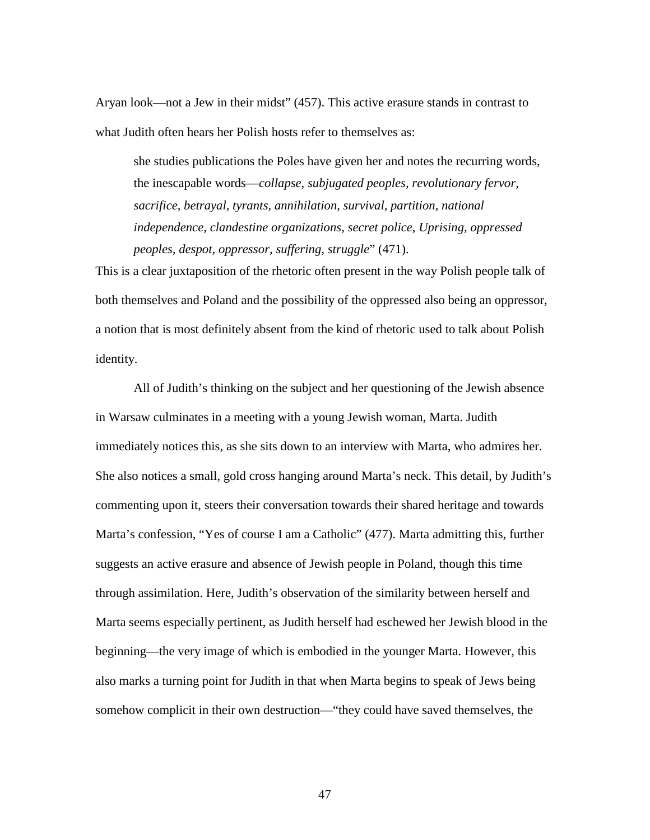Aryan look—not a Jew in their midst" (457). This active erasure stands in contrast to what Judith often hears her Polish hosts refer to themselves as:

she studies publications the Poles have given her and notes the recurring words, the inescapable words—*collapse, subjugated peoples, revolutionary fervor, sacrifice, betrayal, tyrants, annihilation, survival, partition, national independence, clandestine organizations, secret police, Uprising, oppressed peoples, despot, oppressor, suffering, struggle*" (471).

This is a clear juxtaposition of the rhetoric often present in the way Polish people talk of both themselves and Poland and the possibility of the oppressed also being an oppressor, a notion that is most definitely absent from the kind of rhetoric used to talk about Polish identity.

All of Judith's thinking on the subject and her questioning of the Jewish absence in Warsaw culminates in a meeting with a young Jewish woman, Marta. Judith immediately notices this, as she sits down to an interview with Marta, who admires her. She also notices a small, gold cross hanging around Marta's neck. This detail, by Judith's commenting upon it, steers their conversation towards their shared heritage and towards Marta's confession, "Yes of course I am a Catholic" (477). Marta admitting this, further suggests an active erasure and absence of Jewish people in Poland, though this time through assimilation. Here, Judith's observation of the similarity between herself and Marta seems especially pertinent, as Judith herself had eschewed her Jewish blood in the beginning—the very image of which is embodied in the younger Marta. However, this also marks a turning point for Judith in that when Marta begins to speak of Jews being somehow complicit in their own destruction—"they could have saved themselves, the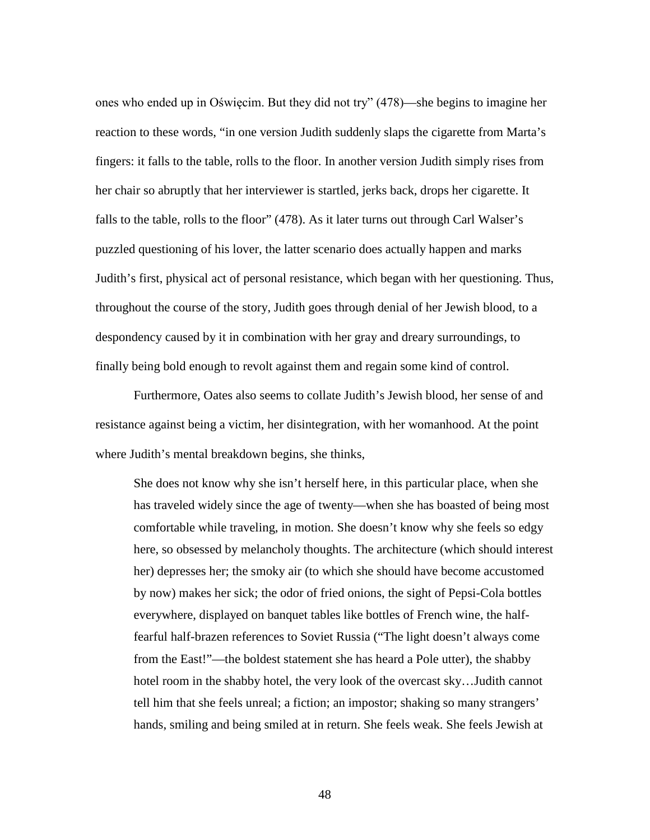ones who ended up in Oświęcim. But they did not try" (478)—she begins to imagine her reaction to these words, "in one version Judith suddenly slaps the cigarette from Marta's fingers: it falls to the table, rolls to the floor. In another version Judith simply rises from her chair so abruptly that her interviewer is startled, jerks back, drops her cigarette. It falls to the table, rolls to the floor" (478). As it later turns out through Carl Walser's puzzled questioning of his lover, the latter scenario does actually happen and marks Judith's first, physical act of personal resistance, which began with her questioning. Thus, throughout the course of the story, Judith goes through denial of her Jewish blood, to a despondency caused by it in combination with her gray and dreary surroundings, to finally being bold enough to revolt against them and regain some kind of control.

Furthermore, Oates also seems to collate Judith's Jewish blood, her sense of and resistance against being a victim, her disintegration, with her womanhood. At the point where Judith's mental breakdown begins, she thinks,

She does not know why she isn't herself here, in this particular place, when she has traveled widely since the age of twenty—when she has boasted of being most comfortable while traveling, in motion. She doesn't know why she feels so edgy here, so obsessed by melancholy thoughts. The architecture (which should interest her) depresses her; the smoky air (to which she should have become accustomed by now) makes her sick; the odor of fried onions, the sight of Pepsi-Cola bottles everywhere, displayed on banquet tables like bottles of French wine, the halffearful half-brazen references to Soviet Russia ("The light doesn't always come from the East!"—the boldest statement she has heard a Pole utter), the shabby hotel room in the shabby hotel, the very look of the overcast sky…Judith cannot tell him that she feels unreal; a fiction; an impostor; shaking so many strangers' hands, smiling and being smiled at in return. She feels weak. She feels Jewish at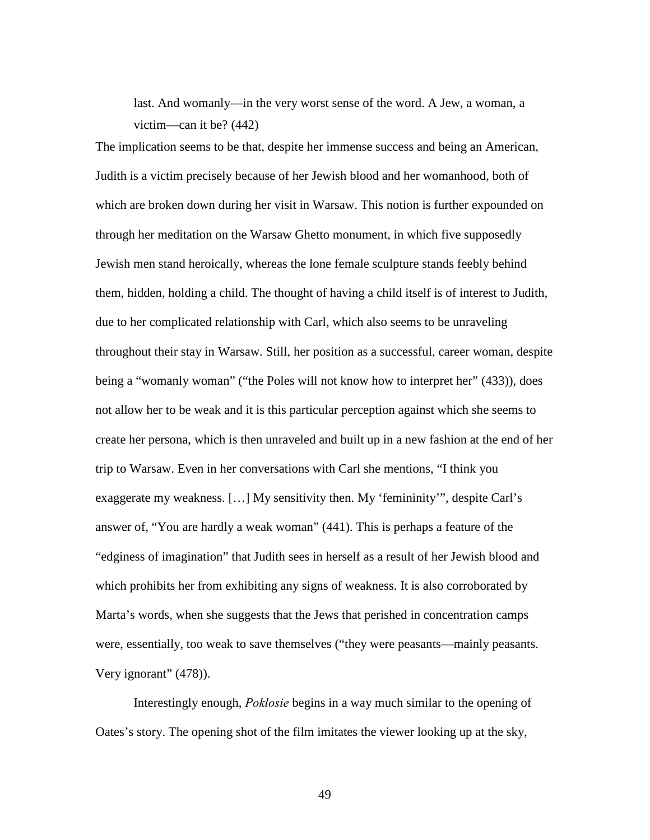last. And womanly—in the very worst sense of the word. A Jew, a woman, a victim—can it be? (442)

The implication seems to be that, despite her immense success and being an American, Judith is a victim precisely because of her Jewish blood and her womanhood, both of which are broken down during her visit in Warsaw. This notion is further expounded on through her meditation on the Warsaw Ghetto monument, in which five supposedly Jewish men stand heroically, whereas the lone female sculpture stands feebly behind them, hidden, holding a child. The thought of having a child itself is of interest to Judith, due to her complicated relationship with Carl, which also seems to be unraveling throughout their stay in Warsaw. Still, her position as a successful, career woman, despite being a "womanly woman" ("the Poles will not know how to interpret her" (433)), does not allow her to be weak and it is this particular perception against which she seems to create her persona, which is then unraveled and built up in a new fashion at the end of her trip to Warsaw. Even in her conversations with Carl she mentions, "I think you exaggerate my weakness. […] My sensitivity then. My 'femininity'", despite Carl's answer of, "You are hardly a weak woman" (441). This is perhaps a feature of the "edginess of imagination" that Judith sees in herself as a result of her Jewish blood and which prohibits her from exhibiting any signs of weakness. It is also corroborated by Marta's words, when she suggests that the Jews that perished in concentration camps were, essentially, too weak to save themselves ("they were peasants—mainly peasants. Very ignorant" (478)).

Interestingly enough, *Pokłosie* begins in a way much similar to the opening of Oates's story. The opening shot of the film imitates the viewer looking up at the sky,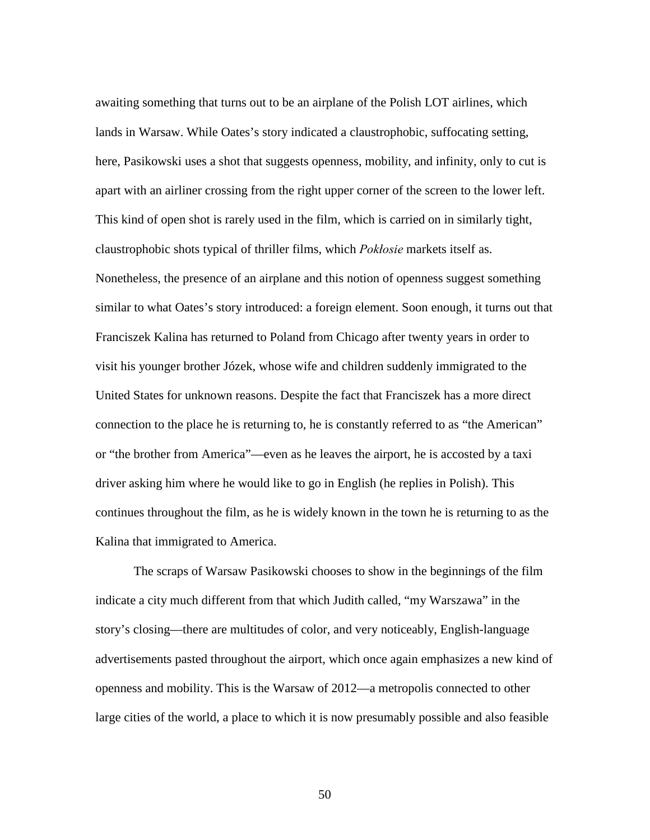awaiting something that turns out to be an airplane of the Polish LOT airlines, which lands in Warsaw. While Oates's story indicated a claustrophobic, suffocating setting, here, Pasikowski uses a shot that suggests openness, mobility, and infinity, only to cut is apart with an airliner crossing from the right upper corner of the screen to the lower left. This kind of open shot is rarely used in the film, which is carried on in similarly tight, claustrophobic shots typical of thriller films, which *Pokłosie* markets itself as. Nonetheless, the presence of an airplane and this notion of openness suggest something similar to what Oates's story introduced: a foreign element. Soon enough, it turns out that Franciszek Kalina has returned to Poland from Chicago after twenty years in order to visit his younger brother Józek, whose wife and children suddenly immigrated to the United States for unknown reasons. Despite the fact that Franciszek has a more direct connection to the place he is returning to, he is constantly referred to as "the American" or "the brother from America"—even as he leaves the airport, he is accosted by a taxi driver asking him where he would like to go in English (he replies in Polish). This continues throughout the film, as he is widely known in the town he is returning to as the Kalina that immigrated to America.

The scraps of Warsaw Pasikowski chooses to show in the beginnings of the film indicate a city much different from that which Judith called, "my Warszawa" in the story's closing—there are multitudes of color, and very noticeably, English-language advertisements pasted throughout the airport, which once again emphasizes a new kind of openness and mobility. This is the Warsaw of 2012—a metropolis connected to other large cities of the world, a place to which it is now presumably possible and also feasible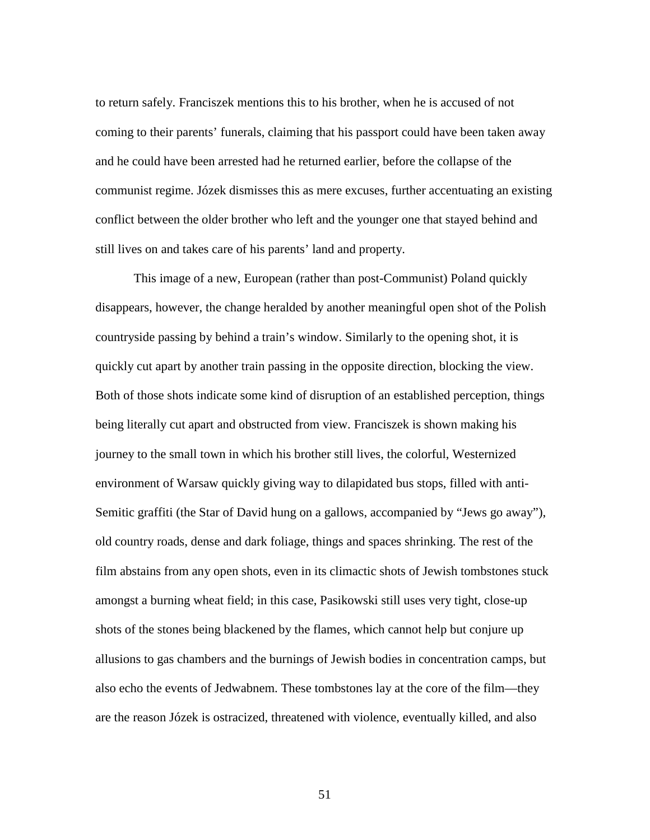to return safely. Franciszek mentions this to his brother, when he is accused of not coming to their parents' funerals, claiming that his passport could have been taken away and he could have been arrested had he returned earlier, before the collapse of the communist regime. Józek dismisses this as mere excuses, further accentuating an existing conflict between the older brother who left and the younger one that stayed behind and still lives on and takes care of his parents' land and property.

This image of a new, European (rather than post-Communist) Poland quickly disappears, however, the change heralded by another meaningful open shot of the Polish countryside passing by behind a train's window. Similarly to the opening shot, it is quickly cut apart by another train passing in the opposite direction, blocking the view. Both of those shots indicate some kind of disruption of an established perception, things being literally cut apart and obstructed from view. Franciszek is shown making his journey to the small town in which his brother still lives, the colorful, Westernized environment of Warsaw quickly giving way to dilapidated bus stops, filled with anti-Semitic graffiti (the Star of David hung on a gallows, accompanied by "Jews go away"), old country roads, dense and dark foliage, things and spaces shrinking. The rest of the film abstains from any open shots, even in its climactic shots of Jewish tombstones stuck amongst a burning wheat field; in this case, Pasikowski still uses very tight, close-up shots of the stones being blackened by the flames, which cannot help but conjure up allusions to gas chambers and the burnings of Jewish bodies in concentration camps, but also echo the events of Jedwabnem. These tombstones lay at the core of the film—they are the reason Józek is ostracized, threatened with violence, eventually killed, and also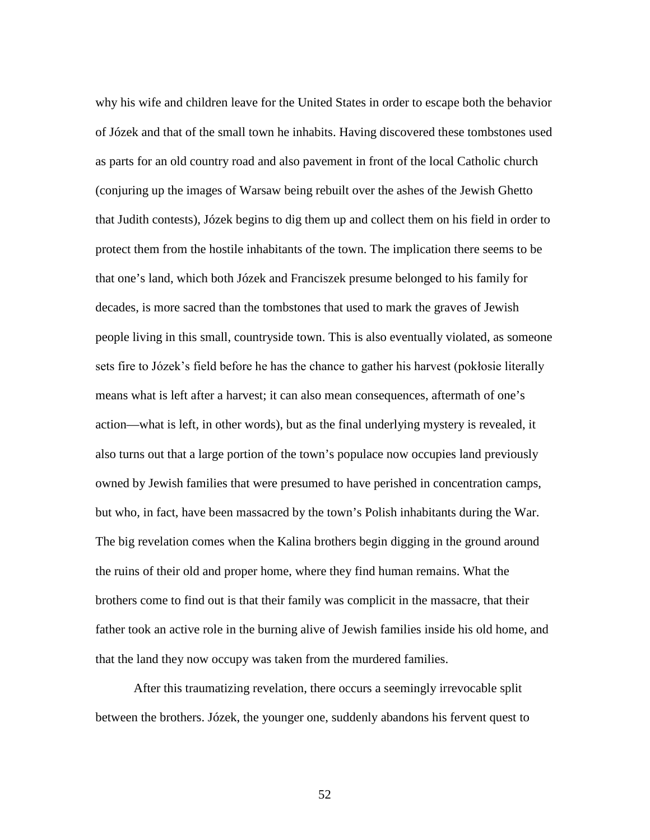why his wife and children leave for the United States in order to escape both the behavior of Józek and that of the small town he inhabits. Having discovered these tombstones used as parts for an old country road and also pavement in front of the local Catholic church (conjuring up the images of Warsaw being rebuilt over the ashes of the Jewish Ghetto that Judith contests), Józek begins to dig them up and collect them on his field in order to protect them from the hostile inhabitants of the town. The implication there seems to be that one's land, which both Józek and Franciszek presume belonged to his family for decades, is more sacred than the tombstones that used to mark the graves of Jewish people living in this small, countryside town. This is also eventually violated, as someone sets fire to Józek's field before he has the chance to gather his harvest (pokłosie literally means what is left after a harvest; it can also mean consequences, aftermath of one's action—what is left, in other words), but as the final underlying mystery is revealed, it also turns out that a large portion of the town's populace now occupies land previously owned by Jewish families that were presumed to have perished in concentration camps, but who, in fact, have been massacred by the town's Polish inhabitants during the War. The big revelation comes when the Kalina brothers begin digging in the ground around the ruins of their old and proper home, where they find human remains. What the brothers come to find out is that their family was complicit in the massacre, that their father took an active role in the burning alive of Jewish families inside his old home, and that the land they now occupy was taken from the murdered families.

After this traumatizing revelation, there occurs a seemingly irrevocable split between the brothers. Józek, the younger one, suddenly abandons his fervent quest to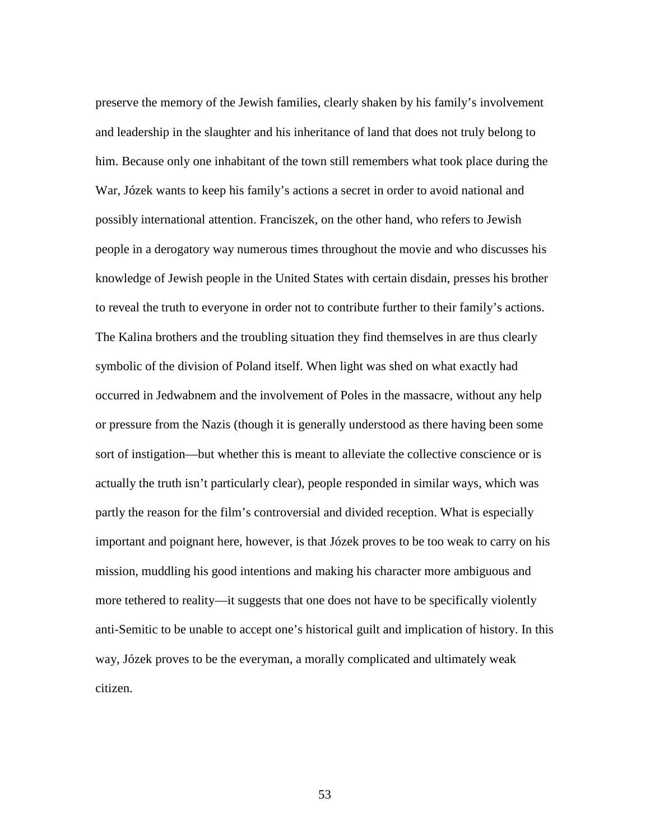preserve the memory of the Jewish families, clearly shaken by his family's involvement and leadership in the slaughter and his inheritance of land that does not truly belong to him. Because only one inhabitant of the town still remembers what took place during the War, Józek wants to keep his family's actions a secret in order to avoid national and possibly international attention. Franciszek, on the other hand, who refers to Jewish people in a derogatory way numerous times throughout the movie and who discusses his knowledge of Jewish people in the United States with certain disdain, presses his brother to reveal the truth to everyone in order not to contribute further to their family's actions. The Kalina brothers and the troubling situation they find themselves in are thus clearly symbolic of the division of Poland itself. When light was shed on what exactly had occurred in Jedwabnem and the involvement of Poles in the massacre, without any help or pressure from the Nazis (though it is generally understood as there having been some sort of instigation—but whether this is meant to alleviate the collective conscience or is actually the truth isn't particularly clear), people responded in similar ways, which was partly the reason for the film's controversial and divided reception. What is especially important and poignant here, however, is that Józek proves to be too weak to carry on his mission, muddling his good intentions and making his character more ambiguous and more tethered to reality—it suggests that one does not have to be specifically violently anti-Semitic to be unable to accept one's historical guilt and implication of history. In this way, Józek proves to be the everyman, a morally complicated and ultimately weak citizen.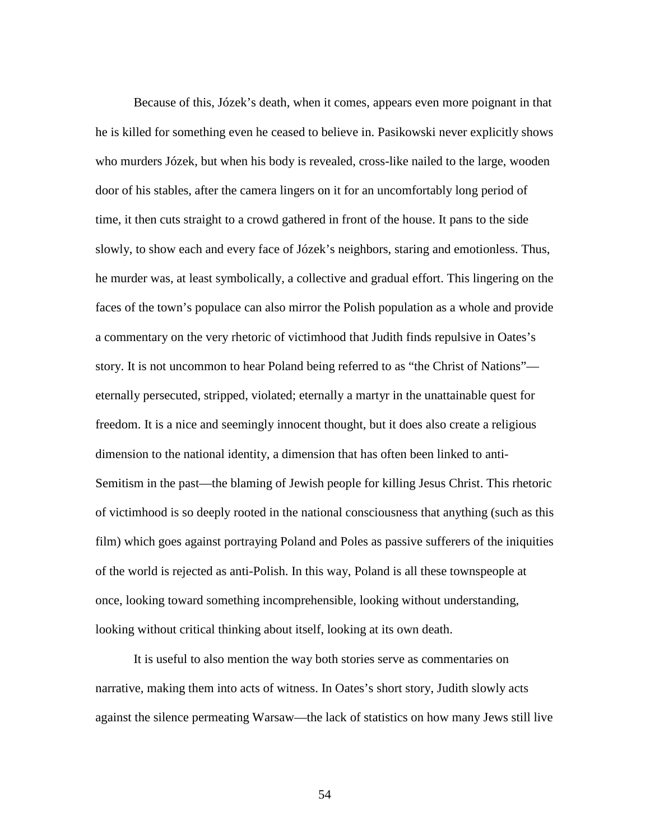Because of this, Józek's death, when it comes, appears even more poignant in that he is killed for something even he ceased to believe in. Pasikowski never explicitly shows who murders Józek, but when his body is revealed, cross-like nailed to the large, wooden door of his stables, after the camera lingers on it for an uncomfortably long period of time, it then cuts straight to a crowd gathered in front of the house. It pans to the side slowly, to show each and every face of Józek's neighbors, staring and emotionless. Thus, he murder was, at least symbolically, a collective and gradual effort. This lingering on the faces of the town's populace can also mirror the Polish population as a whole and provide a commentary on the very rhetoric of victimhood that Judith finds repulsive in Oates's story. It is not uncommon to hear Poland being referred to as "the Christ of Nations" eternally persecuted, stripped, violated; eternally a martyr in the unattainable quest for freedom. It is a nice and seemingly innocent thought, but it does also create a religious dimension to the national identity, a dimension that has often been linked to anti-Semitism in the past—the blaming of Jewish people for killing Jesus Christ. This rhetoric of victimhood is so deeply rooted in the national consciousness that anything (such as this film) which goes against portraying Poland and Poles as passive sufferers of the iniquities of the world is rejected as anti-Polish. In this way, Poland is all these townspeople at once, looking toward something incomprehensible, looking without understanding, looking without critical thinking about itself, looking at its own death.

It is useful to also mention the way both stories serve as commentaries on narrative, making them into acts of witness. In Oates's short story, Judith slowly acts against the silence permeating Warsaw—the lack of statistics on how many Jews still live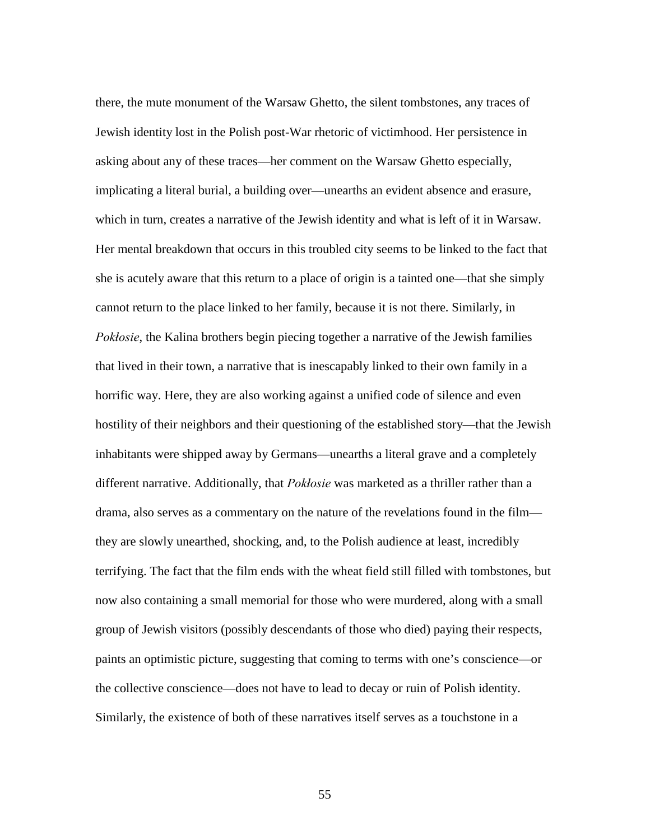there, the mute monument of the Warsaw Ghetto, the silent tombstones, any traces of Jewish identity lost in the Polish post-War rhetoric of victimhood. Her persistence in asking about any of these traces—her comment on the Warsaw Ghetto especially, implicating a literal burial, a building over—unearths an evident absence and erasure, which in turn, creates a narrative of the Jewish identity and what is left of it in Warsaw. Her mental breakdown that occurs in this troubled city seems to be linked to the fact that she is acutely aware that this return to a place of origin is a tainted one—that she simply cannot return to the place linked to her family, because it is not there. Similarly, in *Pokłosie*, the Kalina brothers begin piecing together a narrative of the Jewish families that lived in their town, a narrative that is inescapably linked to their own family in a horrific way. Here, they are also working against a unified code of silence and even hostility of their neighbors and their questioning of the established story—that the Jewish inhabitants were shipped away by Germans—unearths a literal grave and a completely different narrative. Additionally, that *Pokłosie* was marketed as a thriller rather than a drama, also serves as a commentary on the nature of the revelations found in the film they are slowly unearthed, shocking, and, to the Polish audience at least, incredibly terrifying. The fact that the film ends with the wheat field still filled with tombstones, but now also containing a small memorial for those who were murdered, along with a small group of Jewish visitors (possibly descendants of those who died) paying their respects, paints an optimistic picture, suggesting that coming to terms with one's conscience—or the collective conscience—does not have to lead to decay or ruin of Polish identity. Similarly, the existence of both of these narratives itself serves as a touchstone in a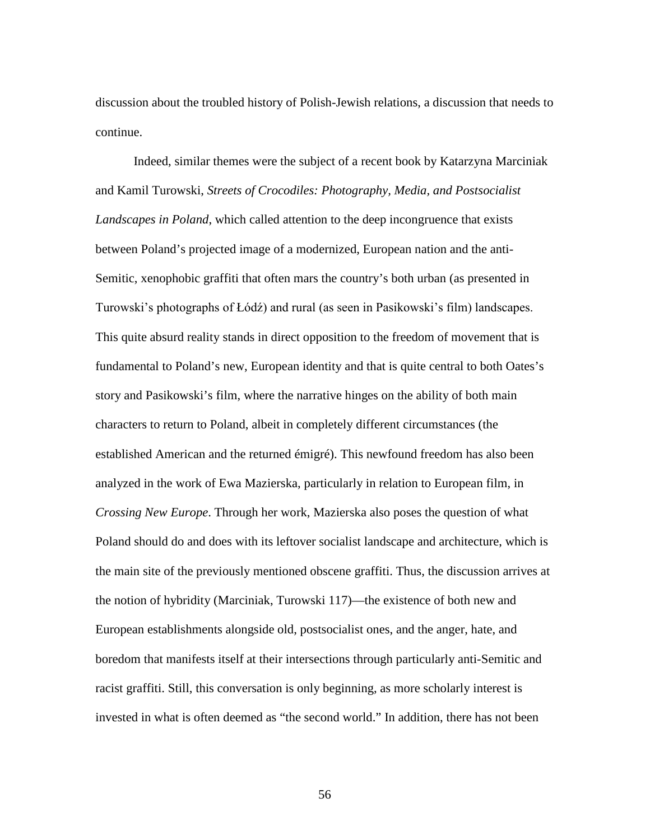discussion about the troubled history of Polish-Jewish relations, a discussion that needs to continue.

Indeed, similar themes were the subject of a recent book by Katarzyna Marciniak and Kamil Turowski, *Streets of Crocodiles: Photography, Media, and Postsocialist Landscapes in Poland*, which called attention to the deep incongruence that exists between Poland's projected image of a modernized, European nation and the anti-Semitic, xenophobic graffiti that often mars the country's both urban (as presented in Turowski's photographs of Łódź) and rural (as seen in Pasikowski's film) landscapes. This quite absurd reality stands in direct opposition to the freedom of movement that is fundamental to Poland's new, European identity and that is quite central to both Oates's story and Pasikowski's film, where the narrative hinges on the ability of both main characters to return to Poland, albeit in completely different circumstances (the established American and the returned émigré). This newfound freedom has also been analyzed in the work of Ewa Mazierska, particularly in relation to European film, in *Crossing New Europe*. Through her work, Mazierska also poses the question of what Poland should do and does with its leftover socialist landscape and architecture, which is the main site of the previously mentioned obscene graffiti. Thus, the discussion arrives at the notion of hybridity (Marciniak, Turowski 117)—the existence of both new and European establishments alongside old, postsocialist ones, and the anger, hate, and boredom that manifests itself at their intersections through particularly anti-Semitic and racist graffiti. Still, this conversation is only beginning, as more scholarly interest is invested in what is often deemed as "the second world." In addition, there has not been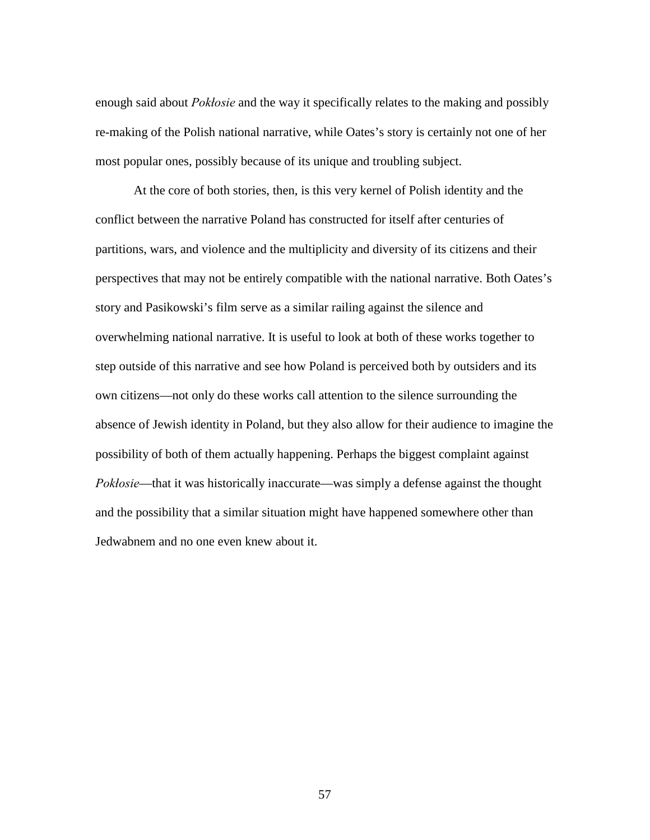enough said about *Pokłosie* and the way it specifically relates to the making and possibly re-making of the Polish national narrative, while Oates's story is certainly not one of her most popular ones, possibly because of its unique and troubling subject.

At the core of both stories, then, is this very kernel of Polish identity and the conflict between the narrative Poland has constructed for itself after centuries of partitions, wars, and violence and the multiplicity and diversity of its citizens and their perspectives that may not be entirely compatible with the national narrative. Both Oates's story and Pasikowski's film serve as a similar railing against the silence and overwhelming national narrative. It is useful to look at both of these works together to step outside of this narrative and see how Poland is perceived both by outsiders and its own citizens—not only do these works call attention to the silence surrounding the absence of Jewish identity in Poland, but they also allow for their audience to imagine the possibility of both of them actually happening. Perhaps the biggest complaint against *Pokłosie*—that it was historically inaccurate—was simply a defense against the thought and the possibility that a similar situation might have happened somewhere other than Jedwabnem and no one even knew about it.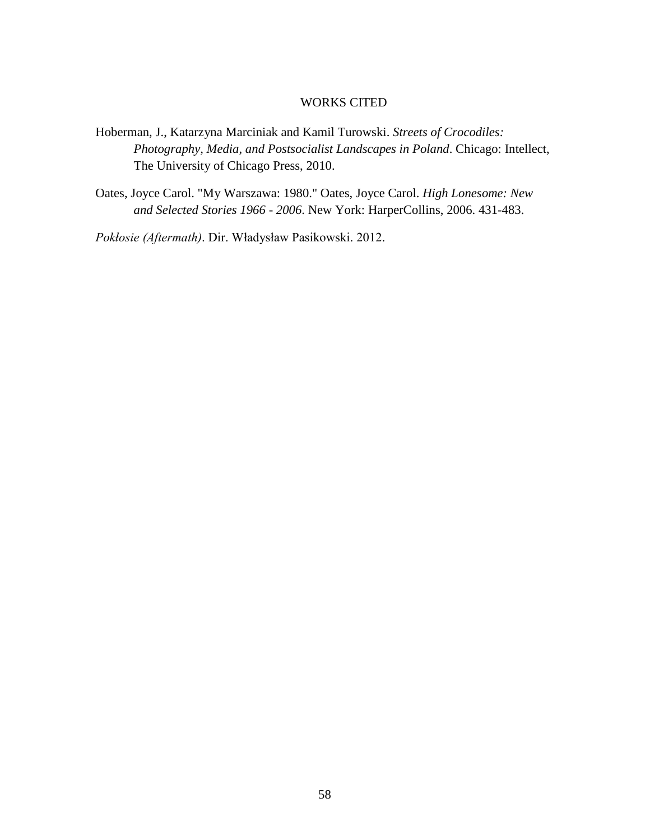#### WORKS CITED

- Hoberman, J., Katarzyna Marciniak and Kamil Turowski. *Streets of Crocodiles: Photography, Media, and Postsocialist Landscapes in Poland*. Chicago: Intellect, The University of Chicago Press, 2010.
- Oates, Joyce Carol. "My Warszawa: 1980." Oates, Joyce Carol. *High Lonesome: New and Selected Stories 1966 - 2006*. New York: HarperCollins, 2006. 431-483.

*Pokłosie (Aftermath)*. Dir. Władysław Pasikowski. 2012.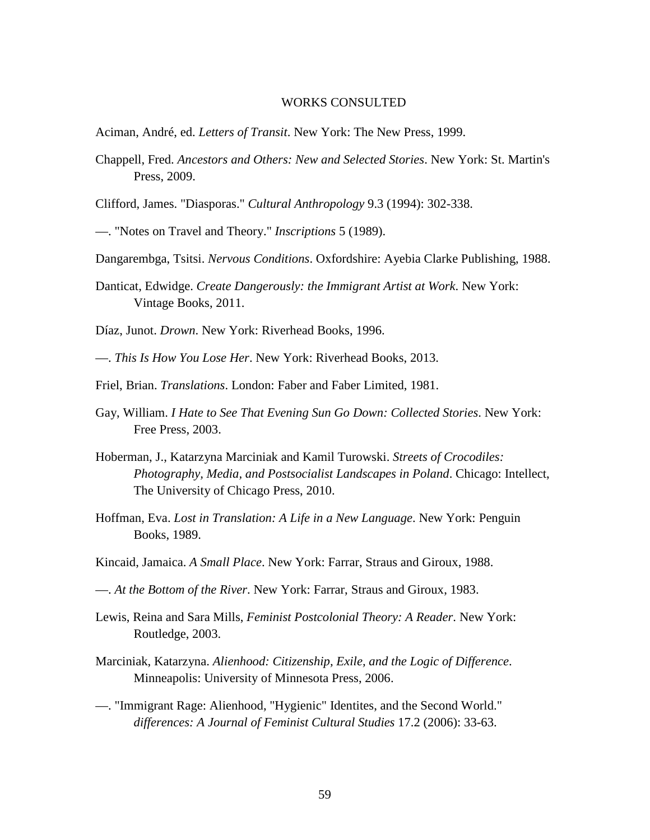#### WORKS CONSULTED

- Aciman, André, ed. *Letters of Transit*. New York: The New Press, 1999.
- Chappell, Fred. *Ancestors and Others: New and Selected Stories*. New York: St. Martin's Press, 2009.
- Clifford, James. "Diasporas." *Cultural Anthropology* 9.3 (1994): 302-338.
- —. "Notes on Travel and Theory." *Inscriptions* 5 (1989).
- Dangarembga, Tsitsi. *Nervous Conditions*. Oxfordshire: Ayebia Clarke Publishing, 1988.
- Danticat, Edwidge. *Create Dangerously: the Immigrant Artist at Work*. New York: Vintage Books, 2011.

Díaz, Junot. *Drown*. New York: Riverhead Books, 1996.

—. *This Is How You Lose Her*. New York: Riverhead Books, 2013.

- Friel, Brian. *Translations*. London: Faber and Faber Limited, 1981.
- Gay, William. *I Hate to See That Evening Sun Go Down: Collected Stories*. New York: Free Press, 2003.
- Hoberman, J., Katarzyna Marciniak and Kamil Turowski. *Streets of Crocodiles: Photography, Media, and Postsocialist Landscapes in Poland*. Chicago: Intellect, The University of Chicago Press, 2010.
- Hoffman, Eva. *Lost in Translation: A Life in a New Language*. New York: Penguin Books, 1989.
- Kincaid, Jamaica. *A Small Place*. New York: Farrar, Straus and Giroux, 1988.
- —. *At the Bottom of the River*. New York: Farrar, Straus and Giroux, 1983.
- Lewis, Reina and Sara Mills, *Feminist Postcolonial Theory: A Reader*. New York: Routledge, 2003.
- Marciniak, Katarzyna. *Alienhood: Citizenship, Exile, and the Logic of Difference*. Minneapolis: University of Minnesota Press, 2006.
- —. "Immigrant Rage: Alienhood, "Hygienic" Identites, and the Second World." *differences: A Journal of Feminist Cultural Studies* 17.2 (2006): 33-63.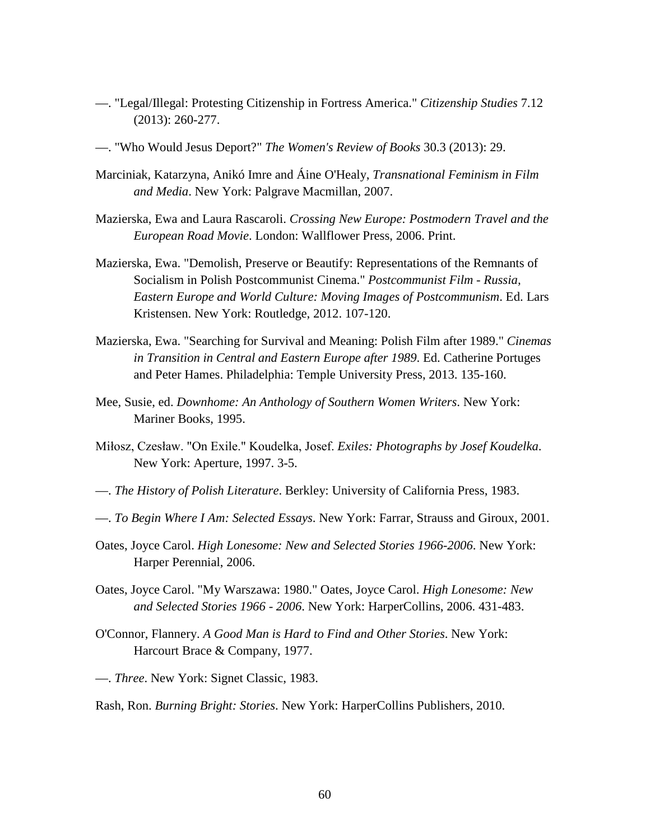- —. "Legal/Illegal: Protesting Citizenship in Fortress America." *Citizenship Studies* 7.12 (2013): 260-277.
- —. "Who Would Jesus Deport?" *The Women's Review of Books* 30.3 (2013): 29.
- Marciniak, Katarzyna, Anikó Imre and Áine O'Healy, *Transnational Feminism in Film and Media*. New York: Palgrave Macmillan, 2007.
- Mazierska, Ewa and Laura Rascaroli. *Crossing New Europe: Postmodern Travel and the European Road Movie*. London: Wallflower Press, 2006. Print.
- Mazierska, Ewa. "Demolish, Preserve or Beautify: Representations of the Remnants of Socialism in Polish Postcommunist Cinema." *Postcommunist Film - Russia, Eastern Europe and World Culture: Moving Images of Postcommunism*. Ed. Lars Kristensen. New York: Routledge, 2012. 107-120.
- Mazierska, Ewa. "Searching for Survival and Meaning: Polish Film after 1989." *Cinemas in Transition in Central and Eastern Europe after 1989*. Ed. Catherine Portuges and Peter Hames. Philadelphia: Temple University Press, 2013. 135-160.
- Mee, Susie, ed. *Downhome: An Anthology of Southern Women Writers*. New York: Mariner Books, 1995.
- Miłosz, Czesław. "On Exile." Koudelka, Josef. *Exiles: Photographs by Josef Koudelka*. New York: Aperture, 1997. 3-5.
- —. *The History of Polish Literature*. Berkley: University of California Press, 1983.
- —. *To Begin Where I Am: Selected Essays*. New York: Farrar, Strauss and Giroux, 2001.
- Oates, Joyce Carol. *High Lonesome: New and Selected Stories 1966-2006*. New York: Harper Perennial, 2006.
- Oates, Joyce Carol. "My Warszawa: 1980." Oates, Joyce Carol. *High Lonesome: New and Selected Stories 1966 - 2006*. New York: HarperCollins, 2006. 431-483.
- O'Connor, Flannery. *A Good Man is Hard to Find and Other Stories*. New York: Harcourt Brace & Company, 1977.
- —. *Three*. New York: Signet Classic, 1983.

Rash, Ron. *Burning Bright: Stories*. New York: HarperCollins Publishers, 2010.